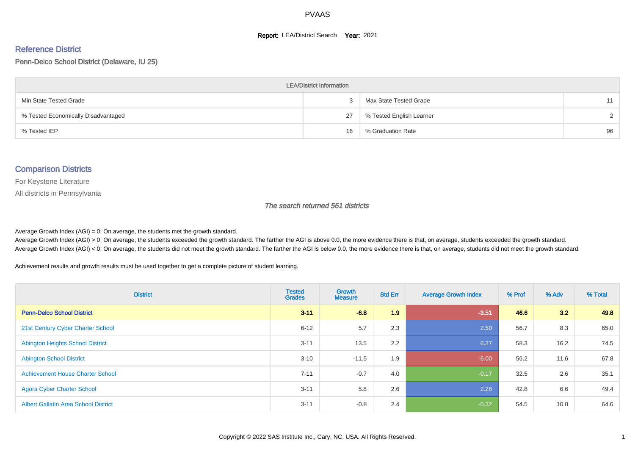#### **Report: LEA/District Search Year: 2021**

# Reference District

Penn-Delco School District (Delaware, IU 25)

| <b>LEA/District Information</b>     |    |                          |               |  |  |  |  |  |  |  |
|-------------------------------------|----|--------------------------|---------------|--|--|--|--|--|--|--|
| Min State Tested Grade              |    | Max State Tested Grade   | 11            |  |  |  |  |  |  |  |
| % Tested Economically Disadvantaged | 27 | % Tested English Learner | $\mathcal{D}$ |  |  |  |  |  |  |  |
| % Tested IEP                        | 16 | % Graduation Rate        | 96            |  |  |  |  |  |  |  |

#### Comparison Districts

For Keystone Literature

All districts in Pennsylvania

The search returned 561 districts

Average Growth Index  $(AGI) = 0$ : On average, the students met the growth standard.

Average Growth Index (AGI) > 0: On average, the students exceeded the growth standard. The farther the AGI is above 0.0, the more evidence there is that, on average, students exceeded the growth standard. Average Growth Index (AGI) < 0: On average, the students did not meet the growth standard. The farther the AGI is below 0.0, the more evidence there is that, on average, students did not meet the growth standard.

Achievement results and growth results must be used together to get a complete picture of student learning.

| <b>District</b>                             | <b>Tested</b><br><b>Grades</b> | <b>Growth</b><br><b>Measure</b> | <b>Std Err</b> | <b>Average Growth Index</b> | % Prof | % Adv | % Total |
|---------------------------------------------|--------------------------------|---------------------------------|----------------|-----------------------------|--------|-------|---------|
| <b>Penn-Delco School District</b>           | $3 - 11$                       | $-6.8$                          | 1.9            | $-3.51$                     | 46.6   | 3.2   | 49.8    |
| 21st Century Cyber Charter School           | $6 - 12$                       | 5.7                             | 2.3            | 2.50                        | 56.7   | 8.3   | 65.0    |
| <b>Abington Heights School District</b>     | $3 - 11$                       | 13.5                            | 2.2            | 6.27                        | 58.3   | 16.2  | 74.5    |
| <b>Abington School District</b>             | $3 - 10$                       | $-11.5$                         | 1.9            | $-6.00$                     | 56.2   | 11.6  | 67.8    |
| <b>Achievement House Charter School</b>     | $7 - 11$                       | $-0.7$                          | 4.0            | $-0.17$                     | 32.5   | 2.6   | 35.1    |
| <b>Agora Cyber Charter School</b>           | $3 - 11$                       | 5.8                             | 2.6            | 2.28                        | 42.8   | 6.6   | 49.4    |
| <b>Albert Gallatin Area School District</b> | $3 - 11$                       | $-0.8$                          | 2.4            | $-0.32$                     | 54.5   | 10.0  | 64.6    |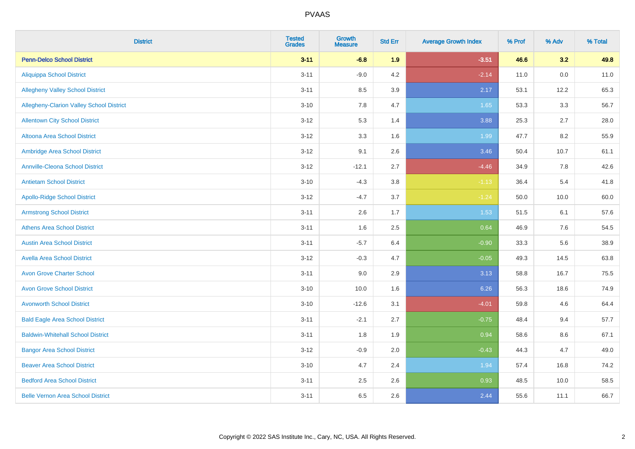| <b>District</b>                          | <b>Tested</b><br><b>Grades</b> | Growth<br><b>Measure</b> | <b>Std Err</b> | <b>Average Growth Index</b> | % Prof | % Adv   | % Total |
|------------------------------------------|--------------------------------|--------------------------|----------------|-----------------------------|--------|---------|---------|
| <b>Penn-Delco School District</b>        | $3 - 11$                       | $-6.8$                   | 1.9            | $-3.51$                     | 46.6   | 3.2     | 49.8    |
| <b>Aliquippa School District</b>         | $3 - 11$                       | $-9.0$                   | 4.2            | $-2.14$                     | 11.0   | $0.0\,$ | 11.0    |
| <b>Allegheny Valley School District</b>  | $3 - 11$                       | 8.5                      | 3.9            | 2.17                        | 53.1   | 12.2    | 65.3    |
| Allegheny-Clarion Valley School District | $3 - 10$                       | 7.8                      | 4.7            | 1.65                        | 53.3   | 3.3     | 56.7    |
| <b>Allentown City School District</b>    | $3 - 12$                       | 5.3                      | 1.4            | 3.88                        | 25.3   | 2.7     | 28.0    |
| <b>Altoona Area School District</b>      | $3 - 12$                       | 3.3                      | 1.6            | 1.99                        | 47.7   | 8.2     | 55.9    |
| Ambridge Area School District            | $3 - 12$                       | 9.1                      | 2.6            | 3.46                        | 50.4   | 10.7    | 61.1    |
| <b>Annville-Cleona School District</b>   | $3 - 12$                       | $-12.1$                  | 2.7            | $-4.46$                     | 34.9   | 7.8     | 42.6    |
| <b>Antietam School District</b>          | $3 - 10$                       | $-4.3$                   | 3.8            | $-1.13$                     | 36.4   | 5.4     | 41.8    |
| <b>Apollo-Ridge School District</b>      | $3 - 12$                       | $-4.7$                   | 3.7            | $-1.24$                     | 50.0   | 10.0    | 60.0    |
| <b>Armstrong School District</b>         | $3 - 11$                       | 2.6                      | 1.7            | 1.53                        | 51.5   | 6.1     | 57.6    |
| <b>Athens Area School District</b>       | $3 - 11$                       | 1.6                      | 2.5            | 0.64                        | 46.9   | 7.6     | 54.5    |
| <b>Austin Area School District</b>       | $3 - 11$                       | $-5.7$                   | 6.4            | $-0.90$                     | 33.3   | 5.6     | 38.9    |
| <b>Avella Area School District</b>       | $3 - 12$                       | $-0.3$                   | 4.7            | $-0.05$                     | 49.3   | 14.5    | 63.8    |
| <b>Avon Grove Charter School</b>         | $3 - 11$                       | 9.0                      | 2.9            | 3.13                        | 58.8   | 16.7    | 75.5    |
| <b>Avon Grove School District</b>        | $3 - 10$                       | 10.0                     | 1.6            | 6.26                        | 56.3   | 18.6    | 74.9    |
| <b>Avonworth School District</b>         | $3 - 10$                       | $-12.6$                  | 3.1            | $-4.01$                     | 59.8   | 4.6     | 64.4    |
| <b>Bald Eagle Area School District</b>   | $3 - 11$                       | $-2.1$                   | 2.7            | $-0.75$                     | 48.4   | 9.4     | 57.7    |
| <b>Baldwin-Whitehall School District</b> | $3 - 11$                       | 1.8                      | 1.9            | 0.94                        | 58.6   | 8.6     | 67.1    |
| <b>Bangor Area School District</b>       | $3 - 12$                       | $-0.9$                   | 2.0            | $-0.43$                     | 44.3   | 4.7     | 49.0    |
| <b>Beaver Area School District</b>       | $3 - 10$                       | 4.7                      | 2.4            | 1.94                        | 57.4   | 16.8    | 74.2    |
| <b>Bedford Area School District</b>      | $3 - 11$                       | 2.5                      | 2.6            | 0.93                        | 48.5   | 10.0    | 58.5    |
| <b>Belle Vernon Area School District</b> | $3 - 11$                       | 6.5                      | 2.6            | 2.44                        | 55.6   | 11.1    | 66.7    |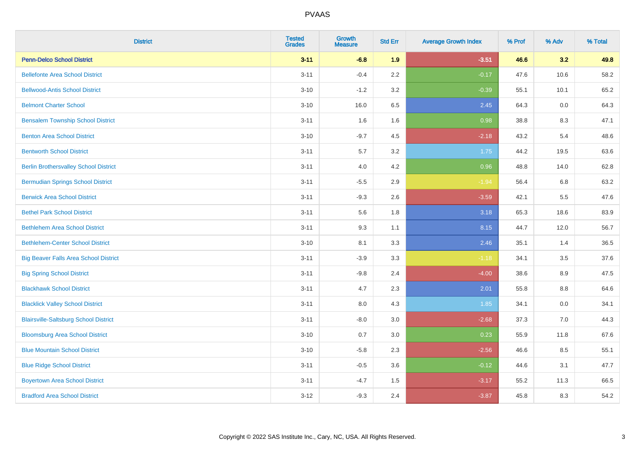| <b>District</b>                              | <b>Tested</b><br><b>Grades</b> | <b>Growth</b><br><b>Measure</b> | <b>Std Err</b> | <b>Average Growth Index</b> | % Prof | % Adv | % Total |
|----------------------------------------------|--------------------------------|---------------------------------|----------------|-----------------------------|--------|-------|---------|
| <b>Penn-Delco School District</b>            | $3 - 11$                       | $-6.8$                          | 1.9            | $-3.51$                     | 46.6   | 3.2   | 49.8    |
| <b>Bellefonte Area School District</b>       | $3 - 11$                       | $-0.4$                          | 2.2            | $-0.17$                     | 47.6   | 10.6  | 58.2    |
| <b>Bellwood-Antis School District</b>        | $3 - 10$                       | $-1.2$                          | 3.2            | $-0.39$                     | 55.1   | 10.1  | 65.2    |
| <b>Belmont Charter School</b>                | $3 - 10$                       | 16.0                            | 6.5            | 2.45                        | 64.3   | 0.0   | 64.3    |
| <b>Bensalem Township School District</b>     | $3 - 11$                       | 1.6                             | 1.6            | 0.98                        | 38.8   | 8.3   | 47.1    |
| <b>Benton Area School District</b>           | $3 - 10$                       | $-9.7$                          | 4.5            | $-2.18$                     | 43.2   | 5.4   | 48.6    |
| <b>Bentworth School District</b>             | $3 - 11$                       | 5.7                             | 3.2            | 1.75                        | 44.2   | 19.5  | 63.6    |
| <b>Berlin Brothersvalley School District</b> | $3 - 11$                       | 4.0                             | 4.2            | 0.96                        | 48.8   | 14.0  | 62.8    |
| <b>Bermudian Springs School District</b>     | $3 - 11$                       | $-5.5$                          | 2.9            | $-1.94$                     | 56.4   | 6.8   | 63.2    |
| <b>Berwick Area School District</b>          | $3 - 11$                       | $-9.3$                          | 2.6            | $-3.59$                     | 42.1   | 5.5   | 47.6    |
| <b>Bethel Park School District</b>           | $3 - 11$                       | 5.6                             | 1.8            | 3.18                        | 65.3   | 18.6  | 83.9    |
| <b>Bethlehem Area School District</b>        | $3 - 11$                       | 9.3                             | 1.1            | 8.15                        | 44.7   | 12.0  | 56.7    |
| <b>Bethlehem-Center School District</b>      | $3 - 10$                       | 8.1                             | 3.3            | 2.46                        | 35.1   | 1.4   | 36.5    |
| <b>Big Beaver Falls Area School District</b> | $3 - 11$                       | $-3.9$                          | 3.3            | $-1.18$                     | 34.1   | 3.5   | 37.6    |
| <b>Big Spring School District</b>            | $3 - 11$                       | $-9.8$                          | 2.4            | $-4.00$                     | 38.6   | 8.9   | 47.5    |
| <b>Blackhawk School District</b>             | $3 - 11$                       | 4.7                             | 2.3            | 2.01                        | 55.8   | 8.8   | 64.6    |
| <b>Blacklick Valley School District</b>      | $3 - 11$                       | 8.0                             | 4.3            | 1.85                        | 34.1   | 0.0   | 34.1    |
| <b>Blairsville-Saltsburg School District</b> | $3 - 11$                       | $-8.0$                          | 3.0            | $-2.68$                     | 37.3   | 7.0   | 44.3    |
| <b>Bloomsburg Area School District</b>       | $3 - 10$                       | 0.7                             | 3.0            | 0.23                        | 55.9   | 11.8  | 67.6    |
| <b>Blue Mountain School District</b>         | $3 - 10$                       | $-5.8$                          | 2.3            | $-2.56$                     | 46.6   | 8.5   | 55.1    |
| <b>Blue Ridge School District</b>            | $3 - 11$                       | $-0.5$                          | 3.6            | $-0.12$                     | 44.6   | 3.1   | 47.7    |
| <b>Boyertown Area School District</b>        | $3 - 11$                       | $-4.7$                          | 1.5            | $-3.17$                     | 55.2   | 11.3  | 66.5    |
| <b>Bradford Area School District</b>         | $3 - 12$                       | $-9.3$                          | 2.4            | $-3.87$                     | 45.8   | 8.3   | 54.2    |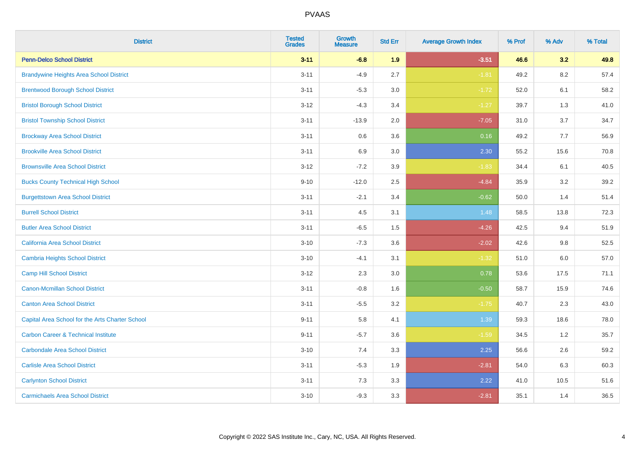| <b>District</b>                                 | <b>Tested</b><br><b>Grades</b> | Growth<br><b>Measure</b> | <b>Std Err</b> | <b>Average Growth Index</b> | % Prof | % Adv   | % Total |
|-------------------------------------------------|--------------------------------|--------------------------|----------------|-----------------------------|--------|---------|---------|
| <b>Penn-Delco School District</b>               | $3 - 11$                       | $-6.8$                   | 1.9            | $-3.51$                     | 46.6   | 3.2     | 49.8    |
| <b>Brandywine Heights Area School District</b>  | $3 - 11$                       | $-4.9$                   | 2.7            | $-1.81$                     | 49.2   | 8.2     | 57.4    |
| <b>Brentwood Borough School District</b>        | $3 - 11$                       | $-5.3$                   | 3.0            | $-1.72$                     | 52.0   | 6.1     | 58.2    |
| <b>Bristol Borough School District</b>          | $3 - 12$                       | $-4.3$                   | 3.4            | $-1.27$                     | 39.7   | 1.3     | 41.0    |
| <b>Bristol Township School District</b>         | $3 - 11$                       | $-13.9$                  | 2.0            | $-7.05$                     | 31.0   | 3.7     | 34.7    |
| <b>Brockway Area School District</b>            | $3 - 11$                       | 0.6                      | 3.6            | 0.16                        | 49.2   | 7.7     | 56.9    |
| <b>Brookville Area School District</b>          | $3 - 11$                       | 6.9                      | 3.0            | 2.30                        | 55.2   | 15.6    | 70.8    |
| <b>Brownsville Area School District</b>         | $3 - 12$                       | $-7.2$                   | 3.9            | $-1.83$                     | 34.4   | 6.1     | 40.5    |
| <b>Bucks County Technical High School</b>       | $9 - 10$                       | $-12.0$                  | 2.5            | $-4.84$                     | 35.9   | 3.2     | 39.2    |
| <b>Burgettstown Area School District</b>        | $3 - 11$                       | $-2.1$                   | 3.4            | $-0.62$                     | 50.0   | 1.4     | 51.4    |
| <b>Burrell School District</b>                  | $3 - 11$                       | 4.5                      | 3.1            | 1.48                        | 58.5   | 13.8    | 72.3    |
| <b>Butler Area School District</b>              | $3 - 11$                       | $-6.5$                   | 1.5            | $-4.26$                     | 42.5   | 9.4     | 51.9    |
| California Area School District                 | $3 - 10$                       | $-7.3$                   | 3.6            | $-2.02$                     | 42.6   | 9.8     | 52.5    |
| Cambria Heights School District                 | $3 - 10$                       | $-4.1$                   | 3.1            | $-1.32$                     | 51.0   | $6.0\,$ | 57.0    |
| <b>Camp Hill School District</b>                | $3 - 12$                       | 2.3                      | 3.0            | 0.78                        | 53.6   | 17.5    | 71.1    |
| Canon-Mcmillan School District                  | $3 - 11$                       | $-0.8$                   | 1.6            | $-0.50$                     | 58.7   | 15.9    | 74.6    |
| <b>Canton Area School District</b>              | $3 - 11$                       | $-5.5$                   | 3.2            | $-1.75$                     | 40.7   | 2.3     | 43.0    |
| Capital Area School for the Arts Charter School | $9 - 11$                       | 5.8                      | 4.1            | 1.39                        | 59.3   | 18.6    | 78.0    |
| <b>Carbon Career &amp; Technical Institute</b>  | $9 - 11$                       | $-5.7$                   | 3.6            | $-1.59$                     | 34.5   | 1.2     | 35.7    |
| <b>Carbondale Area School District</b>          | $3 - 10$                       | 7.4                      | 3.3            | 2.25                        | 56.6   | 2.6     | 59.2    |
| <b>Carlisle Area School District</b>            | $3 - 11$                       | $-5.3$                   | 1.9            | $-2.81$                     | 54.0   | 6.3     | 60.3    |
| <b>Carlynton School District</b>                | $3 - 11$                       | 7.3                      | 3.3            | 2.22                        | 41.0   | 10.5    | 51.6    |
| <b>Carmichaels Area School District</b>         | $3 - 10$                       | $-9.3$                   | 3.3            | $-2.81$                     | 35.1   | 1.4     | 36.5    |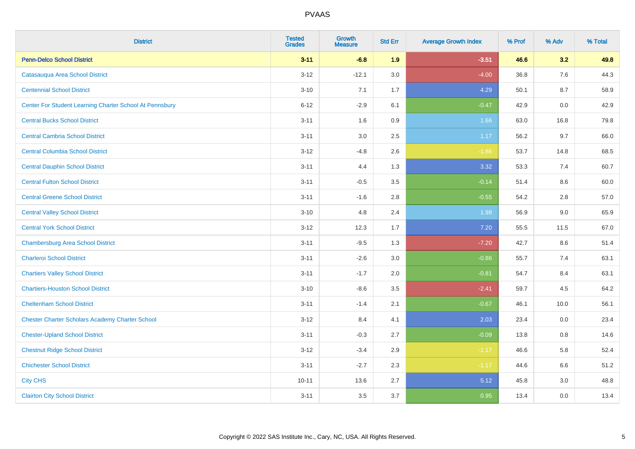| <b>District</b>                                         | <b>Tested</b><br><b>Grades</b> | <b>Growth</b><br><b>Measure</b> | <b>Std Err</b> | <b>Average Growth Index</b> | % Prof | % Adv | % Total |
|---------------------------------------------------------|--------------------------------|---------------------------------|----------------|-----------------------------|--------|-------|---------|
| <b>Penn-Delco School District</b>                       | $3 - 11$                       | $-6.8$                          | 1.9            | $-3.51$                     | 46.6   | 3.2   | 49.8    |
| Catasauqua Area School District                         | $3 - 12$                       | $-12.1$                         | 3.0            | $-4.00$                     | 36.8   | 7.6   | 44.3    |
| <b>Centennial School District</b>                       | $3 - 10$                       | 7.1                             | 1.7            | 4.29                        | 50.1   | 8.7   | 58.9    |
| Center For Student Learning Charter School At Pennsbury | $6 - 12$                       | $-2.9$                          | 6.1            | $-0.47$                     | 42.9   | 0.0   | 42.9    |
| <b>Central Bucks School District</b>                    | $3 - 11$                       | 1.6                             | 0.9            | 1.66                        | 63.0   | 16.8  | 79.8    |
| <b>Central Cambria School District</b>                  | $3 - 11$                       | 3.0                             | 2.5            | 1.17                        | 56.2   | 9.7   | 66.0    |
| <b>Central Columbia School District</b>                 | $3 - 12$                       | $-4.8$                          | 2.6            | $-1.86$                     | 53.7   | 14.8  | 68.5    |
| <b>Central Dauphin School District</b>                  | $3 - 11$                       | 4.4                             | 1.3            | 3.32                        | 53.3   | 7.4   | 60.7    |
| <b>Central Fulton School District</b>                   | $3 - 11$                       | $-0.5$                          | 3.5            | $-0.14$                     | 51.4   | 8.6   | 60.0    |
| <b>Central Greene School District</b>                   | $3 - 11$                       | $-1.6$                          | 2.8            | $-0.55$                     | 54.2   | 2.8   | 57.0    |
| <b>Central Valley School District</b>                   | $3 - 10$                       | 4.8                             | 2.4            | 1.98                        | 56.9   | 9.0   | 65.9    |
| <b>Central York School District</b>                     | $3 - 12$                       | 12.3                            | 1.7            | 7.20                        | 55.5   | 11.5  | 67.0    |
| <b>Chambersburg Area School District</b>                | $3 - 11$                       | $-9.5$                          | 1.3            | $-7.20$                     | 42.7   | 8.6   | 51.4    |
| <b>Charleroi School District</b>                        | $3 - 11$                       | $-2.6$                          | 3.0            | $-0.86$                     | 55.7   | 7.4   | 63.1    |
| <b>Chartiers Valley School District</b>                 | $3 - 11$                       | $-1.7$                          | 2.0            | $-0.81$                     | 54.7   | 8.4   | 63.1    |
| <b>Chartiers-Houston School District</b>                | $3 - 10$                       | $-8.6$                          | 3.5            | $-2.41$                     | 59.7   | 4.5   | 64.2    |
| <b>Cheltenham School District</b>                       | $3 - 11$                       | $-1.4$                          | 2.1            | $-0.67$                     | 46.1   | 10.0  | 56.1    |
| <b>Chester Charter Scholars Academy Charter School</b>  | $3 - 12$                       | 8.4                             | 4.1            | 2.03                        | 23.4   | 0.0   | 23.4    |
| <b>Chester-Upland School District</b>                   | $3 - 11$                       | $-0.3$                          | 2.7            | $-0.09$                     | 13.8   | 0.8   | 14.6    |
| <b>Chestnut Ridge School District</b>                   | $3 - 12$                       | $-3.4$                          | 2.9            | $-1.17$                     | 46.6   | 5.8   | 52.4    |
| <b>Chichester School District</b>                       | $3 - 11$                       | $-2.7$                          | 2.3            | $-1.17$                     | 44.6   | 6.6   | 51.2    |
| <b>City CHS</b>                                         | $10 - 11$                      | 13.6                            | 2.7            | 5.12                        | 45.8   | 3.0   | 48.8    |
| <b>Clairton City School District</b>                    | $3 - 11$                       | 3.5                             | 3.7            | 0.95                        | 13.4   | 0.0   | 13.4    |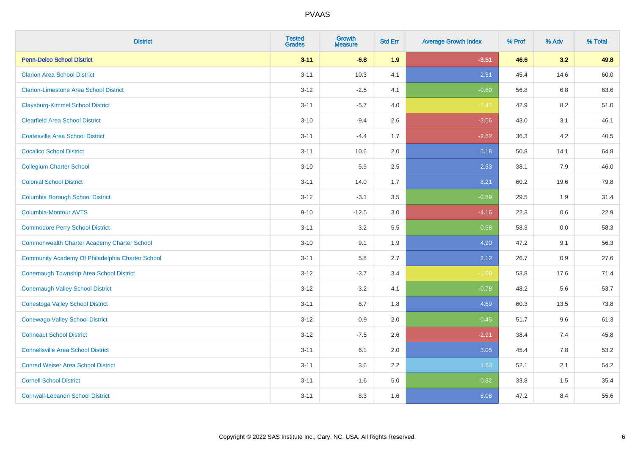| <b>District</b>                                    | <b>Tested</b><br><b>Grades</b> | Growth<br><b>Measure</b> | <b>Std Err</b> | <b>Average Growth Index</b> | % Prof | % Adv | % Total |
|----------------------------------------------------|--------------------------------|--------------------------|----------------|-----------------------------|--------|-------|---------|
| <b>Penn-Delco School District</b>                  | $3 - 11$                       | $-6.8$                   | 1.9            | $-3.51$                     | 46.6   | 3.2   | 49.8    |
| <b>Clarion Area School District</b>                | $3 - 11$                       | 10.3                     | 4.1            | 2.51                        | 45.4   | 14.6  | 60.0    |
| <b>Clarion-Limestone Area School District</b>      | $3 - 12$                       | $-2.5$                   | 4.1            | $-0.60$                     | 56.8   | 6.8   | 63.6    |
| <b>Claysburg-Kimmel School District</b>            | $3 - 11$                       | $-5.7$                   | 4.0            | $-1.42$                     | 42.9   | 8.2   | 51.0    |
| <b>Clearfield Area School District</b>             | $3 - 10$                       | $-9.4$                   | 2.6            | $-3.56$                     | 43.0   | 3.1   | 46.1    |
| <b>Coatesville Area School District</b>            | $3 - 11$                       | $-4.4$                   | 1.7            | $-2.62$                     | 36.3   | 4.2   | 40.5    |
| <b>Cocalico School District</b>                    | $3 - 11$                       | 10.6                     | 2.0            | 5.18                        | 50.8   | 14.1  | 64.8    |
| <b>Collegium Charter School</b>                    | $3 - 10$                       | 5.9                      | 2.5            | 2.33                        | 38.1   | 7.9   | 46.0    |
| <b>Colonial School District</b>                    | $3 - 11$                       | 14.0                     | 1.7            | 8.21                        | 60.2   | 19.6  | 79.8    |
| <b>Columbia Borough School District</b>            | $3 - 12$                       | $-3.1$                   | 3.5            | $-0.89$                     | 29.5   | 1.9   | 31.4    |
| Columbia-Montour AVTS                              | $9 - 10$                       | $-12.5$                  | 3.0            | $-4.16$                     | 22.3   | 0.6   | 22.9    |
| <b>Commodore Perry School District</b>             | $3 - 11$                       | 3.2                      | 5.5            | 0.58                        | 58.3   | 0.0   | 58.3    |
| <b>Commonwealth Charter Academy Charter School</b> | $3 - 10$                       | 9.1                      | 1.9            | 4.90                        | 47.2   | 9.1   | 56.3    |
| Community Academy Of Philadelphia Charter School   | $3 - 11$                       | 5.8                      | 2.7            | 2.12                        | 26.7   | 0.9   | 27.6    |
| Conemaugh Township Area School District            | $3 - 12$                       | $-3.7$                   | 3.4            | $-1.09$                     | 53.8   | 17.6  | 71.4    |
| <b>Conemaugh Valley School District</b>            | $3 - 12$                       | $-3.2$                   | 4.1            | $-0.78$                     | 48.2   | 5.6   | 53.7    |
| <b>Conestoga Valley School District</b>            | $3 - 11$                       | 8.7                      | 1.8            | 4.69                        | 60.3   | 13.5  | 73.8    |
| <b>Conewago Valley School District</b>             | $3 - 12$                       | $-0.9$                   | 2.0            | $-0.45$                     | 51.7   | 9.6   | 61.3    |
| <b>Conneaut School District</b>                    | $3 - 12$                       | $-7.5$                   | 2.6            | $-2.91$                     | 38.4   | 7.4   | 45.8    |
| <b>Connellsville Area School District</b>          | $3 - 11$                       | 6.1                      | 2.0            | 3.05                        | 45.4   | 7.8   | 53.2    |
| <b>Conrad Weiser Area School District</b>          | $3 - 11$                       | 3.6                      | 2.2            | 1.63                        | 52.1   | 2.1   | 54.2    |
| <b>Cornell School District</b>                     | $3 - 11$                       | $-1.6$                   | 5.0            | $-0.32$                     | 33.8   | 1.5   | 35.4    |
| <b>Cornwall-Lebanon School District</b>            | $3 - 11$                       | 8.3                      | 1.6            | 5.08                        | 47.2   | 8.4   | 55.6    |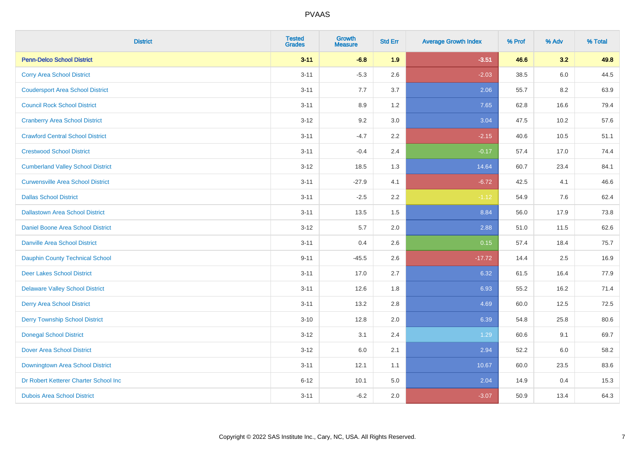| <b>District</b>                          | <b>Tested</b><br><b>Grades</b> | Growth<br><b>Measure</b> | <b>Std Err</b> | <b>Average Growth Index</b> | % Prof | % Adv   | % Total |
|------------------------------------------|--------------------------------|--------------------------|----------------|-----------------------------|--------|---------|---------|
| <b>Penn-Delco School District</b>        | $3 - 11$                       | $-6.8$                   | 1.9            | $-3.51$                     | 46.6   | 3.2     | 49.8    |
| <b>Corry Area School District</b>        | $3 - 11$                       | $-5.3$                   | 2.6            | $-2.03$                     | 38.5   | $6.0\,$ | 44.5    |
| <b>Coudersport Area School District</b>  | $3 - 11$                       | 7.7                      | 3.7            | 2.06                        | 55.7   | 8.2     | 63.9    |
| <b>Council Rock School District</b>      | $3 - 11$                       | 8.9                      | 1.2            | 7.65                        | 62.8   | 16.6    | 79.4    |
| <b>Cranberry Area School District</b>    | $3 - 12$                       | 9.2                      | 3.0            | 3.04                        | 47.5   | 10.2    | 57.6    |
| <b>Crawford Central School District</b>  | $3 - 11$                       | $-4.7$                   | 2.2            | $-2.15$                     | 40.6   | 10.5    | 51.1    |
| <b>Crestwood School District</b>         | $3 - 11$                       | $-0.4$                   | 2.4            | $-0.17$                     | 57.4   | 17.0    | 74.4    |
| <b>Cumberland Valley School District</b> | $3 - 12$                       | 18.5                     | 1.3            | 14.64                       | 60.7   | 23.4    | 84.1    |
| <b>Curwensville Area School District</b> | $3 - 11$                       | $-27.9$                  | 4.1            | $-6.72$                     | 42.5   | 4.1     | 46.6    |
| <b>Dallas School District</b>            | $3 - 11$                       | $-2.5$                   | 2.2            | $-1.12$                     | 54.9   | 7.6     | 62.4    |
| <b>Dallastown Area School District</b>   | $3 - 11$                       | 13.5                     | 1.5            | 8.84                        | 56.0   | 17.9    | 73.8    |
| <b>Daniel Boone Area School District</b> | $3 - 12$                       | 5.7                      | 2.0            | 2.88                        | 51.0   | 11.5    | 62.6    |
| <b>Danville Area School District</b>     | $3 - 11$                       | 0.4                      | 2.6            | 0.15                        | 57.4   | 18.4    | 75.7    |
| <b>Dauphin County Technical School</b>   | $9 - 11$                       | $-45.5$                  | 2.6            | $-17.72$                    | 14.4   | 2.5     | 16.9    |
| <b>Deer Lakes School District</b>        | $3 - 11$                       | 17.0                     | 2.7            | 6.32                        | 61.5   | 16.4    | 77.9    |
| <b>Delaware Valley School District</b>   | $3 - 11$                       | 12.6                     | 1.8            | 6.93                        | 55.2   | 16.2    | 71.4    |
| <b>Derry Area School District</b>        | $3 - 11$                       | 13.2                     | 2.8            | 4.69                        | 60.0   | 12.5    | 72.5    |
| <b>Derry Township School District</b>    | $3 - 10$                       | 12.8                     | 2.0            | 6.39                        | 54.8   | 25.8    | 80.6    |
| <b>Donegal School District</b>           | $3 - 12$                       | 3.1                      | 2.4            | 1.29                        | 60.6   | 9.1     | 69.7    |
| <b>Dover Area School District</b>        | $3 - 12$                       | $6.0\,$                  | 2.1            | 2.94                        | 52.2   | 6.0     | 58.2    |
| Downingtown Area School District         | $3 - 11$                       | 12.1                     | 1.1            | 10.67                       | 60.0   | 23.5    | 83.6    |
| Dr Robert Ketterer Charter School Inc    | $6 - 12$                       | 10.1                     | 5.0            | 2.04                        | 14.9   | 0.4     | 15.3    |
| <b>Dubois Area School District</b>       | $3 - 11$                       | $-6.2$                   | 2.0            | $-3.07$                     | 50.9   | 13.4    | 64.3    |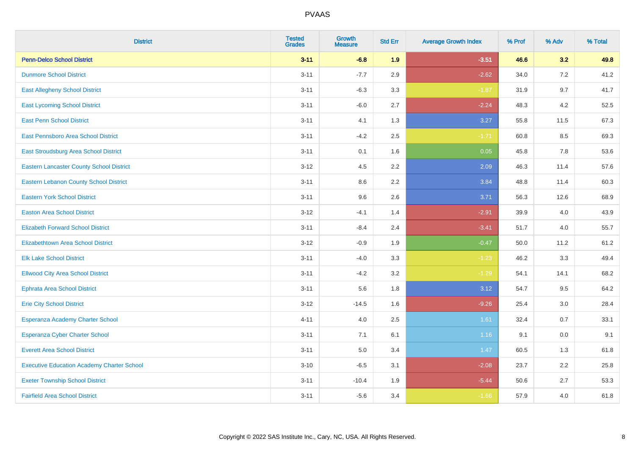| <b>District</b>                                   | <b>Tested</b><br><b>Grades</b> | Growth<br><b>Measure</b> | <b>Std Err</b> | <b>Average Growth Index</b> | % Prof | % Adv | % Total |
|---------------------------------------------------|--------------------------------|--------------------------|----------------|-----------------------------|--------|-------|---------|
| <b>Penn-Delco School District</b>                 | $3 - 11$                       | $-6.8$                   | 1.9            | $-3.51$                     | 46.6   | 3.2   | 49.8    |
| <b>Dunmore School District</b>                    | $3 - 11$                       | $-7.7$                   | 2.9            | $-2.62$                     | 34.0   | 7.2   | 41.2    |
| <b>East Allegheny School District</b>             | $3 - 11$                       | $-6.3$                   | 3.3            | $-1.87$                     | 31.9   | 9.7   | 41.7    |
| <b>East Lycoming School District</b>              | $3 - 11$                       | $-6.0$                   | 2.7            | $-2.24$                     | 48.3   | 4.2   | 52.5    |
| <b>East Penn School District</b>                  | $3 - 11$                       | 4.1                      | 1.3            | 3.27                        | 55.8   | 11.5  | 67.3    |
| East Pennsboro Area School District               | $3 - 11$                       | $-4.2$                   | 2.5            | $-1.71$                     | 60.8   | 8.5   | 69.3    |
| East Stroudsburg Area School District             | $3 - 11$                       | 0.1                      | 1.6            | 0.05                        | 45.8   | 7.8   | 53.6    |
| <b>Eastern Lancaster County School District</b>   | $3 - 12$                       | 4.5                      | 2.2            | 2.09                        | 46.3   | 11.4  | 57.6    |
| <b>Eastern Lebanon County School District</b>     | $3 - 11$                       | 8.6                      | 2.2            | 3.84                        | 48.8   | 11.4  | 60.3    |
| <b>Eastern York School District</b>               | $3 - 11$                       | 9.6                      | 2.6            | 3.71                        | 56.3   | 12.6  | 68.9    |
| <b>Easton Area School District</b>                | $3 - 12$                       | $-4.1$                   | 1.4            | $-2.91$                     | 39.9   | 4.0   | 43.9    |
| <b>Elizabeth Forward School District</b>          | $3 - 11$                       | $-8.4$                   | 2.4            | $-3.41$                     | 51.7   | 4.0   | 55.7    |
| Elizabethtown Area School District                | $3 - 12$                       | $-0.9$                   | 1.9            | $-0.47$                     | 50.0   | 11.2  | 61.2    |
| <b>Elk Lake School District</b>                   | $3 - 11$                       | $-4.0$                   | 3.3            | $-1.23$                     | 46.2   | 3.3   | 49.4    |
| <b>Ellwood City Area School District</b>          | $3 - 11$                       | $-4.2$                   | 3.2            | $-1.29$                     | 54.1   | 14.1  | 68.2    |
| <b>Ephrata Area School District</b>               | $3 - 11$                       | 5.6                      | 1.8            | 3.12                        | 54.7   | 9.5   | 64.2    |
| <b>Erie City School District</b>                  | $3 - 12$                       | $-14.5$                  | 1.6            | $-9.26$                     | 25.4   | 3.0   | 28.4    |
| Esperanza Academy Charter School                  | $4 - 11$                       | 4.0                      | 2.5            | 1.61                        | 32.4   | 0.7   | 33.1    |
| Esperanza Cyber Charter School                    | $3 - 11$                       | 7.1                      | 6.1            | 1.16                        | 9.1    | 0.0   | 9.1     |
| <b>Everett Area School District</b>               | $3 - 11$                       | 5.0                      | 3.4            | 1.47                        | 60.5   | 1.3   | 61.8    |
| <b>Executive Education Academy Charter School</b> | $3 - 10$                       | $-6.5$                   | 3.1            | $-2.08$                     | 23.7   | 2.2   | 25.8    |
| <b>Exeter Township School District</b>            | $3 - 11$                       | $-10.4$                  | 1.9            | $-5.44$                     | 50.6   | 2.7   | 53.3    |
| <b>Fairfield Area School District</b>             | $3 - 11$                       | $-5.6$                   | 3.4            | $-1.66$                     | 57.9   | 4.0   | 61.8    |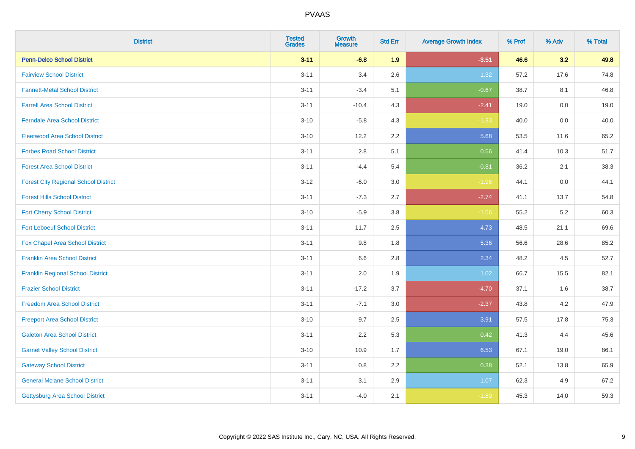| <b>District</b>                             | <b>Tested</b><br><b>Grades</b> | <b>Growth</b><br><b>Measure</b> | <b>Std Err</b> | <b>Average Growth Index</b> | % Prof | % Adv   | % Total |
|---------------------------------------------|--------------------------------|---------------------------------|----------------|-----------------------------|--------|---------|---------|
| <b>Penn-Delco School District</b>           | $3 - 11$                       | $-6.8$                          | 1.9            | $-3.51$                     | 46.6   | 3.2     | 49.8    |
| <b>Fairview School District</b>             | $3 - 11$                       | 3.4                             | 2.6            | 1.32                        | 57.2   | 17.6    | 74.8    |
| <b>Fannett-Metal School District</b>        | $3 - 11$                       | $-3.4$                          | 5.1            | $-0.67$                     | 38.7   | 8.1     | 46.8    |
| <b>Farrell Area School District</b>         | $3 - 11$                       | $-10.4$                         | 4.3            | $-2.41$                     | 19.0   | $0.0\,$ | 19.0    |
| <b>Ferndale Area School District</b>        | $3 - 10$                       | $-5.8$                          | 4.3            | $-1.33$                     | 40.0   | 0.0     | 40.0    |
| <b>Fleetwood Area School District</b>       | $3 - 10$                       | 12.2                            | 2.2            | 5.68                        | 53.5   | 11.6    | 65.2    |
| <b>Forbes Road School District</b>          | $3 - 11$                       | 2.8                             | 5.1            | 0.56                        | 41.4   | 10.3    | 51.7    |
| <b>Forest Area School District</b>          | $3 - 11$                       | $-4.4$                          | 5.4            | $-0.81$                     | 36.2   | 2.1     | 38.3    |
| <b>Forest City Regional School District</b> | $3 - 12$                       | $-6.0$                          | 3.0            | $-1.96$                     | 44.1   | $0.0\,$ | 44.1    |
| <b>Forest Hills School District</b>         | $3 - 11$                       | $-7.3$                          | 2.7            | $-2.74$                     | 41.1   | 13.7    | 54.8    |
| <b>Fort Cherry School District</b>          | $3 - 10$                       | $-5.9$                          | 3.8            | $-1.56$                     | 55.2   | $5.2\,$ | 60.3    |
| <b>Fort Leboeuf School District</b>         | $3 - 11$                       | 11.7                            | 2.5            | 4.73                        | 48.5   | 21.1    | 69.6    |
| Fox Chapel Area School District             | $3 - 11$                       | 9.8                             | 1.8            | 5.36                        | 56.6   | 28.6    | 85.2    |
| <b>Franklin Area School District</b>        | $3 - 11$                       | 6.6                             | 2.8            | 2.34                        | 48.2   | 4.5     | 52.7    |
| <b>Franklin Regional School District</b>    | $3 - 11$                       | 2.0                             | 1.9            | 1.02                        | 66.7   | 15.5    | 82.1    |
| <b>Frazier School District</b>              | $3 - 11$                       | $-17.2$                         | 3.7            | $-4.70$                     | 37.1   | 1.6     | 38.7    |
| <b>Freedom Area School District</b>         | $3 - 11$                       | $-7.1$                          | 3.0            | $-2.37$                     | 43.8   | 4.2     | 47.9    |
| <b>Freeport Area School District</b>        | $3 - 10$                       | 9.7                             | 2.5            | 3.91                        | 57.5   | 17.8    | 75.3    |
| <b>Galeton Area School District</b>         | $3 - 11$                       | 2.2                             | 5.3            | 0.42                        | 41.3   | 4.4     | 45.6    |
| <b>Garnet Valley School District</b>        | $3 - 10$                       | 10.9                            | 1.7            | 6.53                        | 67.1   | 19.0    | 86.1    |
| <b>Gateway School District</b>              | $3 - 11$                       | 0.8                             | 2.2            | 0.38                        | 52.1   | 13.8    | 65.9    |
| <b>General Mclane School District</b>       | $3 - 11$                       | 3.1                             | 2.9            | 1.07                        | 62.3   | 4.9     | 67.2    |
| Gettysburg Area School District             | $3 - 11$                       | $-4.0$                          | 2.1            | $-1.89$                     | 45.3   | 14.0    | 59.3    |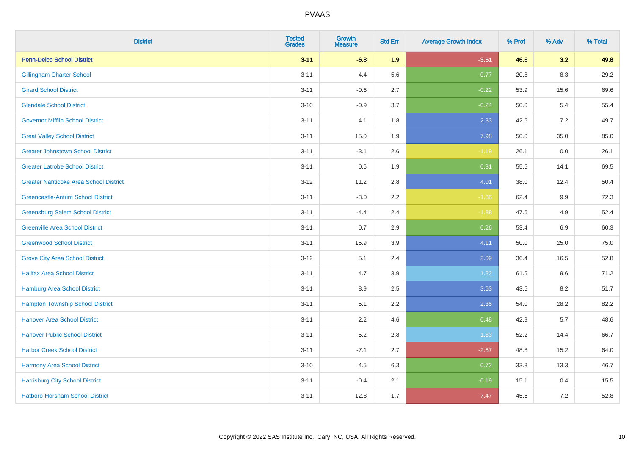| <b>District</b>                               | <b>Tested</b><br><b>Grades</b> | <b>Growth</b><br><b>Measure</b> | <b>Std Err</b> | <b>Average Growth Index</b> | % Prof | % Adv   | % Total |
|-----------------------------------------------|--------------------------------|---------------------------------|----------------|-----------------------------|--------|---------|---------|
| <b>Penn-Delco School District</b>             | $3 - 11$                       | $-6.8$                          | 1.9            | $-3.51$                     | 46.6   | 3.2     | 49.8    |
| <b>Gillingham Charter School</b>              | $3 - 11$                       | $-4.4$                          | 5.6            | $-0.77$                     | 20.8   | 8.3     | 29.2    |
| <b>Girard School District</b>                 | $3 - 11$                       | $-0.6$                          | 2.7            | $-0.22$                     | 53.9   | 15.6    | 69.6    |
| <b>Glendale School District</b>               | $3 - 10$                       | $-0.9$                          | 3.7            | $-0.24$                     | 50.0   | 5.4     | 55.4    |
| <b>Governor Mifflin School District</b>       | $3 - 11$                       | 4.1                             | 1.8            | 2.33                        | 42.5   | 7.2     | 49.7    |
| <b>Great Valley School District</b>           | $3 - 11$                       | 15.0                            | 1.9            | 7.98                        | 50.0   | 35.0    | 85.0    |
| <b>Greater Johnstown School District</b>      | $3 - 11$                       | $-3.1$                          | 2.6            | $-1.19$                     | 26.1   | $0.0\,$ | 26.1    |
| <b>Greater Latrobe School District</b>        | $3 - 11$                       | 0.6                             | 1.9            | 0.31                        | 55.5   | 14.1    | 69.5    |
| <b>Greater Nanticoke Area School District</b> | $3 - 12$                       | 11.2                            | 2.8            | 4.01                        | 38.0   | 12.4    | 50.4    |
| <b>Greencastle-Antrim School District</b>     | $3 - 11$                       | $-3.0$                          | $2.2\,$        | $-1.36$                     | 62.4   | 9.9     | 72.3    |
| <b>Greensburg Salem School District</b>       | $3 - 11$                       | $-4.4$                          | 2.4            | $-1.88$                     | 47.6   | 4.9     | 52.4    |
| <b>Greenville Area School District</b>        | $3 - 11$                       | 0.7                             | 2.9            | 0.26                        | 53.4   | 6.9     | 60.3    |
| <b>Greenwood School District</b>              | $3 - 11$                       | 15.9                            | 3.9            | 4.11                        | 50.0   | 25.0    | 75.0    |
| <b>Grove City Area School District</b>        | $3 - 12$                       | 5.1                             | 2.4            | 2.09                        | 36.4   | 16.5    | 52.8    |
| <b>Halifax Area School District</b>           | $3 - 11$                       | 4.7                             | 3.9            | 1.22                        | 61.5   | 9.6     | 71.2    |
| <b>Hamburg Area School District</b>           | $3 - 11$                       | 8.9                             | 2.5            | 3.63                        | 43.5   | 8.2     | 51.7    |
| <b>Hampton Township School District</b>       | $3 - 11$                       | 5.1                             | 2.2            | 2.35                        | 54.0   | 28.2    | 82.2    |
| <b>Hanover Area School District</b>           | $3 - 11$                       | 2.2                             | 4.6            | 0.48                        | 42.9   | 5.7     | 48.6    |
| <b>Hanover Public School District</b>         | $3 - 11$                       | 5.2                             | 2.8            | 1.83                        | 52.2   | 14.4    | 66.7    |
| <b>Harbor Creek School District</b>           | $3 - 11$                       | $-7.1$                          | 2.7            | $-2.67$                     | 48.8   | 15.2    | 64.0    |
| Harmony Area School District                  | $3 - 10$                       | 4.5                             | 6.3            | 0.72                        | 33.3   | 13.3    | 46.7    |
| <b>Harrisburg City School District</b>        | $3 - 11$                       | $-0.4$                          | 2.1            | $-0.19$                     | 15.1   | 0.4     | 15.5    |
| Hatboro-Horsham School District               | $3 - 11$                       | $-12.8$                         | 1.7            | $-7.47$                     | 45.6   | $7.2\,$ | 52.8    |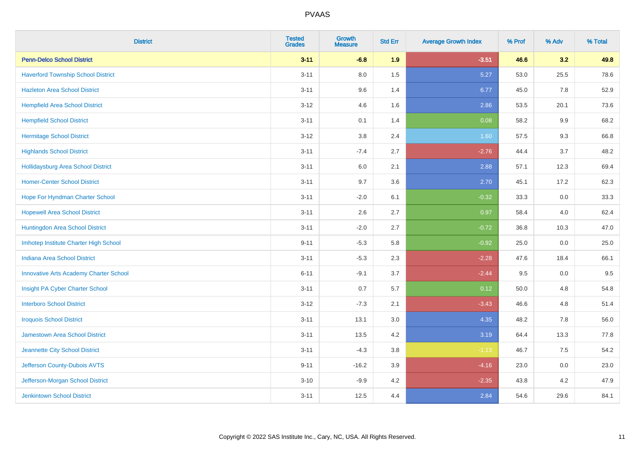| <b>District</b>                               | <b>Tested</b><br><b>Grades</b> | <b>Growth</b><br><b>Measure</b> | <b>Std Err</b> | <b>Average Growth Index</b> | % Prof | % Adv | % Total |
|-----------------------------------------------|--------------------------------|---------------------------------|----------------|-----------------------------|--------|-------|---------|
| <b>Penn-Delco School District</b>             | $3 - 11$                       | $-6.8$                          | 1.9            | $-3.51$                     | 46.6   | 3.2   | 49.8    |
| <b>Haverford Township School District</b>     | $3 - 11$                       | 8.0                             | 1.5            | 5.27                        | 53.0   | 25.5  | 78.6    |
| <b>Hazleton Area School District</b>          | $3 - 11$                       | 9.6                             | 1.4            | 6.77                        | 45.0   | 7.8   | 52.9    |
| <b>Hempfield Area School District</b>         | $3 - 12$                       | 4.6                             | 1.6            | 2.86                        | 53.5   | 20.1  | 73.6    |
| <b>Hempfield School District</b>              | $3 - 11$                       | 0.1                             | 1.4            | 0.08                        | 58.2   | 9.9   | 68.2    |
| <b>Hermitage School District</b>              | $3 - 12$                       | 3.8                             | 2.4            | 1.60                        | 57.5   | 9.3   | 66.8    |
| <b>Highlands School District</b>              | $3 - 11$                       | $-7.4$                          | 2.7            | $-2.76$                     | 44.4   | 3.7   | 48.2    |
| <b>Hollidaysburg Area School District</b>     | $3 - 11$                       | 6.0                             | 2.1            | 2.88                        | 57.1   | 12.3  | 69.4    |
| <b>Homer-Center School District</b>           | $3 - 11$                       | 9.7                             | 3.6            | 2.70                        | 45.1   | 17.2  | 62.3    |
| Hope For Hyndman Charter School               | $3 - 11$                       | $-2.0$                          | 6.1            | $-0.32$                     | 33.3   | 0.0   | 33.3    |
| <b>Hopewell Area School District</b>          | $3 - 11$                       | 2.6                             | 2.7            | 0.97                        | 58.4   | 4.0   | 62.4    |
| Huntingdon Area School District               | $3 - 11$                       | $-2.0$                          | 2.7            | $-0.72$                     | 36.8   | 10.3  | 47.0    |
| Imhotep Institute Charter High School         | $9 - 11$                       | $-5.3$                          | 5.8            | $-0.92$                     | 25.0   | 0.0   | 25.0    |
| <b>Indiana Area School District</b>           | $3 - 11$                       | $-5.3$                          | 2.3            | $-2.28$                     | 47.6   | 18.4  | 66.1    |
| <b>Innovative Arts Academy Charter School</b> | $6 - 11$                       | $-9.1$                          | 3.7            | $-2.44$                     | 9.5    | 0.0   | 9.5     |
| Insight PA Cyber Charter School               | $3 - 11$                       | 0.7                             | 5.7            | 0.12                        | 50.0   | 4.8   | 54.8    |
| <b>Interboro School District</b>              | $3 - 12$                       | $-7.3$                          | 2.1            | $-3.43$                     | 46.6   | 4.8   | 51.4    |
| <b>Iroquois School District</b>               | $3 - 11$                       | 13.1                            | 3.0            | 4.35                        | 48.2   | 7.8   | 56.0    |
| Jamestown Area School District                | $3 - 11$                       | 13.5                            | 4.2            | 3.19                        | 64.4   | 13.3  | 77.8    |
| Jeannette City School District                | $3 - 11$                       | $-4.3$                          | 3.8            | $-1.13$                     | 46.7   | 7.5   | 54.2    |
| Jefferson County-Dubois AVTS                  | $9 - 11$                       | $-16.2$                         | 3.9            | $-4.16$                     | 23.0   | 0.0   | 23.0    |
| Jefferson-Morgan School District              | $3 - 10$                       | $-9.9$                          | 4.2            | $-2.35$                     | 43.8   | 4.2   | 47.9    |
| <b>Jenkintown School District</b>             | $3 - 11$                       | 12.5                            | 4.4            | 2.84                        | 54.6   | 29.6  | 84.1    |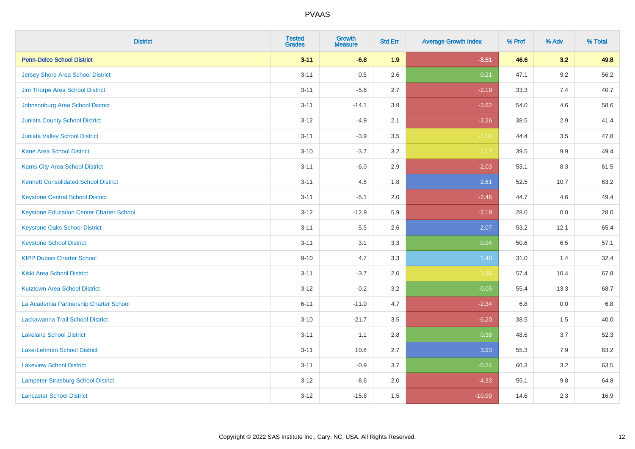| <b>District</b>                                 | <b>Tested</b><br><b>Grades</b> | <b>Growth</b><br><b>Measure</b> | <b>Std Err</b> | <b>Average Growth Index</b> | % Prof | % Adv | % Total |
|-------------------------------------------------|--------------------------------|---------------------------------|----------------|-----------------------------|--------|-------|---------|
| <b>Penn-Delco School District</b>               | $3 - 11$                       | $-6.8$                          | 1.9            | $-3.51$                     | 46.6   | 3.2   | 49.8    |
| <b>Jersey Shore Area School District</b>        | $3 - 11$                       | 0.5                             | 2.6            | 0.21                        | 47.1   | 9.2   | 56.2    |
| Jim Thorpe Area School District                 | $3 - 11$                       | $-5.8$                          | 2.7            | $-2.19$                     | 33.3   | 7.4   | 40.7    |
| Johnsonburg Area School District                | $3 - 11$                       | $-14.1$                         | 3.9            | $-3.62$                     | 54.0   | 4.6   | 58.6    |
| <b>Juniata County School District</b>           | $3 - 12$                       | $-4.9$                          | 2.1            | $-2.26$                     | 38.5   | 2.9   | 41.4    |
| <b>Juniata Valley School District</b>           | $3 - 11$                       | $-3.9$                          | 3.5            | $-1.10$                     | 44.4   | 3.5   | 47.8    |
| <b>Kane Area School District</b>                | $3 - 10$                       | $-3.7$                          | 3.2            | $-1.17$                     | 39.5   | 9.9   | 49.4    |
| Karns City Area School District                 | $3 - 11$                       | $-6.0$                          | 2.9            | $-2.03$                     | 53.1   | 8.3   | 61.5    |
| <b>Kennett Consolidated School District</b>     | $3 - 11$                       | 4.8                             | 1.8            | 2.61                        | 52.5   | 10.7  | 63.2    |
| <b>Keystone Central School District</b>         | $3 - 11$                       | $-5.1$                          | 2.0            | $-2.46$                     | 44.7   | 4.6   | 49.4    |
| <b>Keystone Education Center Charter School</b> | $3 - 12$                       | $-12.9$                         | 5.9            | $-2.19$                     | 28.0   | 0.0   | 28.0    |
| <b>Keystone Oaks School District</b>            | $3 - 11$                       | 5.5                             | 2.6            | 2.07                        | 53.2   | 12.1  | 65.4    |
| <b>Keystone School District</b>                 | $3 - 11$                       | 3.1                             | 3.3            | 0.94                        | 50.6   | 6.5   | 57.1    |
| <b>KIPP Dubois Charter School</b>               | $9 - 10$                       | 4.7                             | 3.3            | 1.40                        | 31.0   | 1.4   | 32.4    |
| <b>Kiski Area School District</b>               | $3 - 11$                       | $-3.7$                          | 2.0            | $-1.86$                     | 57.4   | 10.4  | 67.8    |
| <b>Kutztown Area School District</b>            | $3 - 12$                       | $-0.2$                          | 3.2            | $-0.05$                     | 55.4   | 13.3  | 68.7    |
| La Academia Partnership Charter School          | $6 - 11$                       | $-11.0$                         | 4.7            | $-2.34$                     | 6.8    | 0.0   | 6.8     |
| Lackawanna Trail School District                | $3 - 10$                       | $-21.7$                         | 3.5            | $-6.20$                     | 38.5   | 1.5   | 40.0    |
| <b>Lakeland School District</b>                 | $3 - 11$                       | 1.1                             | 2.8            | 0.38                        | 48.6   | 3.7   | 52.3    |
| Lake-Lehman School District                     | $3 - 11$                       | 10.8                            | 2.7            | 3.93                        | 55.3   | 7.9   | 63.2    |
| <b>Lakeview School District</b>                 | $3 - 11$                       | $-0.9$                          | 3.7            | $-0.24$                     | 60.3   | 3.2   | 63.5    |
| Lampeter-Strasburg School District              | $3 - 12$                       | $-8.6$                          | 2.0            | $-4.33$                     | 55.1   | 9.8   | 64.8    |
| <b>Lancaster School District</b>                | $3 - 12$                       | $-15.8$                         | 1.5            | $-10.90$                    | 14.6   | 2.3   | 16.9    |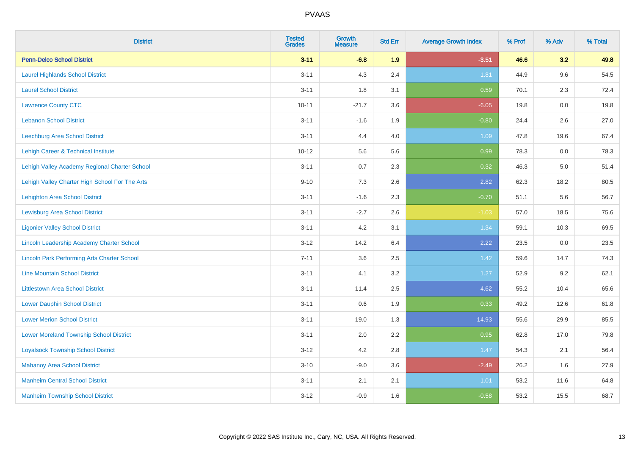| <b>District</b>                                    | <b>Tested</b><br><b>Grades</b> | Growth<br><b>Measure</b> | <b>Std Err</b> | <b>Average Growth Index</b> | % Prof | % Adv   | % Total |
|----------------------------------------------------|--------------------------------|--------------------------|----------------|-----------------------------|--------|---------|---------|
| <b>Penn-Delco School District</b>                  | $3 - 11$                       | $-6.8$                   | 1.9            | $-3.51$                     | 46.6   | 3.2     | 49.8    |
| <b>Laurel Highlands School District</b>            | $3 - 11$                       | 4.3                      | 2.4            | 1.81                        | 44.9   | 9.6     | 54.5    |
| <b>Laurel School District</b>                      | $3 - 11$                       | 1.8                      | 3.1            | 0.59                        | 70.1   | 2.3     | 72.4    |
| <b>Lawrence County CTC</b>                         | $10 - 11$                      | $-21.7$                  | 3.6            | $-6.05$                     | 19.8   | $0.0\,$ | 19.8    |
| <b>Lebanon School District</b>                     | $3 - 11$                       | $-1.6$                   | 1.9            | $-0.80$                     | 24.4   | 2.6     | 27.0    |
| <b>Leechburg Area School District</b>              | $3 - 11$                       | 4.4                      | 4.0            | 1.09                        | 47.8   | 19.6    | 67.4    |
| Lehigh Career & Technical Institute                | $10 - 12$                      | 5.6                      | 5.6            | 0.99                        | 78.3   | 0.0     | 78.3    |
| Lehigh Valley Academy Regional Charter School      | $3 - 11$                       | 0.7                      | 2.3            | 0.32                        | 46.3   | 5.0     | 51.4    |
| Lehigh Valley Charter High School For The Arts     | $9 - 10$                       | 7.3                      | 2.6            | 2.82                        | 62.3   | 18.2    | 80.5    |
| <b>Lehighton Area School District</b>              | $3 - 11$                       | $-1.6$                   | 2.3            | $-0.70$                     | 51.1   | 5.6     | 56.7    |
| <b>Lewisburg Area School District</b>              | $3 - 11$                       | $-2.7$                   | 2.6            | $-1.03$                     | 57.0   | 18.5    | 75.6    |
| <b>Ligonier Valley School District</b>             | $3 - 11$                       | 4.2                      | 3.1            | 1.34                        | 59.1   | 10.3    | 69.5    |
| Lincoln Leadership Academy Charter School          | $3 - 12$                       | 14.2                     | 6.4            | 2.22                        | 23.5   | 0.0     | 23.5    |
| <b>Lincoln Park Performing Arts Charter School</b> | $7 - 11$                       | 3.6                      | 2.5            | 1.42                        | 59.6   | 14.7    | 74.3    |
| <b>Line Mountain School District</b>               | $3 - 11$                       | 4.1                      | 3.2            | 1.27                        | 52.9   | 9.2     | 62.1    |
| <b>Littlestown Area School District</b>            | $3 - 11$                       | 11.4                     | 2.5            | 4.62                        | 55.2   | 10.4    | 65.6    |
| <b>Lower Dauphin School District</b>               | $3 - 11$                       | 0.6                      | 1.9            | 0.33                        | 49.2   | 12.6    | 61.8    |
| <b>Lower Merion School District</b>                | $3 - 11$                       | 19.0                     | 1.3            | 14.93                       | 55.6   | 29.9    | 85.5    |
| <b>Lower Moreland Township School District</b>     | $3 - 11$                       | 2.0                      | 2.2            | 0.95                        | 62.8   | 17.0    | 79.8    |
| <b>Loyalsock Township School District</b>          | $3 - 12$                       | 4.2                      | 2.8            | 1.47                        | 54.3   | 2.1     | 56.4    |
| <b>Mahanoy Area School District</b>                | $3 - 10$                       | $-9.0$                   | 3.6            | $-2.49$                     | 26.2   | 1.6     | 27.9    |
| <b>Manheim Central School District</b>             | $3 - 11$                       | 2.1                      | 2.1            | 1.01                        | 53.2   | 11.6    | 64.8    |
| <b>Manheim Township School District</b>            | $3 - 12$                       | $-0.9$                   | 1.6            | $-0.58$                     | 53.2   | 15.5    | 68.7    |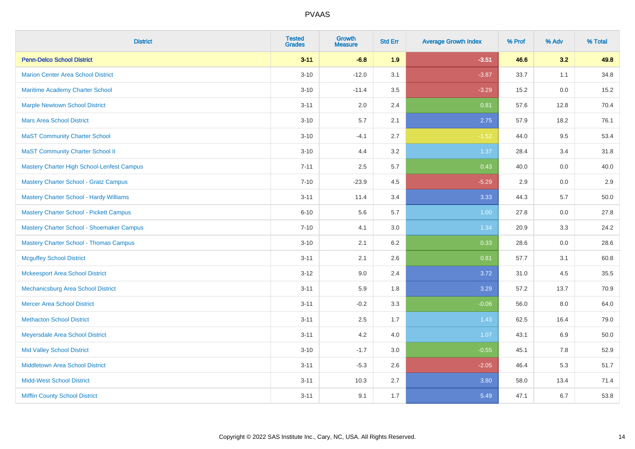| <b>District</b>                                   | <b>Tested</b><br><b>Grades</b> | <b>Growth</b><br><b>Measure</b> | <b>Std Err</b> | <b>Average Growth Index</b> | % Prof | % Adv | % Total |
|---------------------------------------------------|--------------------------------|---------------------------------|----------------|-----------------------------|--------|-------|---------|
| <b>Penn-Delco School District</b>                 | $3 - 11$                       | $-6.8$                          | 1.9            | $-3.51$                     | 46.6   | 3.2   | 49.8    |
| <b>Marion Center Area School District</b>         | $3 - 10$                       | $-12.0$                         | 3.1            | $-3.87$                     | 33.7   | 1.1   | 34.8    |
| Maritime Academy Charter School                   | $3 - 10$                       | $-11.4$                         | 3.5            | $-3.29$                     | 15.2   | 0.0   | 15.2    |
| <b>Marple Newtown School District</b>             | $3 - 11$                       | 2.0                             | 2.4            | 0.81                        | 57.6   | 12.8  | 70.4    |
| <b>Mars Area School District</b>                  | $3 - 10$                       | 5.7                             | 2.1            | 2.75                        | 57.9   | 18.2  | 76.1    |
| <b>MaST Community Charter School</b>              | $3 - 10$                       | $-4.1$                          | 2.7            | $-1.52$                     | 44.0   | 9.5   | 53.4    |
| <b>MaST Community Charter School II</b>           | $3 - 10$                       | 4.4                             | 3.2            | 1.37                        | 28.4   | 3.4   | 31.8    |
| <b>Mastery Charter High School-Lenfest Campus</b> | $7 - 11$                       | 2.5                             | 5.7            | 0.43                        | 40.0   | 0.0   | 40.0    |
| <b>Mastery Charter School - Gratz Campus</b>      | $7 - 10$                       | $-23.9$                         | 4.5            | $-5.29$                     | 2.9    | 0.0   | 2.9     |
| <b>Mastery Charter School - Hardy Williams</b>    | $3 - 11$                       | 11.4                            | 3.4            | 3.33                        | 44.3   | 5.7   | 50.0    |
| <b>Mastery Charter School - Pickett Campus</b>    | $6 - 10$                       | 5.6                             | 5.7            | 1.00                        | 27.8   | 0.0   | 27.8    |
| Mastery Charter School - Shoemaker Campus         | $7 - 10$                       | 4.1                             | 3.0            | 1.34                        | 20.9   | 3.3   | 24.2    |
| <b>Mastery Charter School - Thomas Campus</b>     | $3 - 10$                       | 2.1                             | 6.2            | 0.33                        | 28.6   | 0.0   | 28.6    |
| <b>Mcguffey School District</b>                   | $3 - 11$                       | 2.1                             | 2.6            | 0.81                        | 57.7   | 3.1   | 60.8    |
| <b>Mckeesport Area School District</b>            | $3 - 12$                       | 9.0                             | 2.4            | 3.72                        | 31.0   | 4.5   | 35.5    |
| Mechanicsburg Area School District                | $3 - 11$                       | 5.9                             | 1.8            | 3.29                        | 57.2   | 13.7  | 70.9    |
| <b>Mercer Area School District</b>                | $3 - 11$                       | $-0.2$                          | 3.3            | $-0.06$                     | 56.0   | 8.0   | 64.0    |
| <b>Methacton School District</b>                  | $3 - 11$                       | 2.5                             | 1.7            | 1.43                        | 62.5   | 16.4  | 79.0    |
| Meyersdale Area School District                   | $3 - 11$                       | 4.2                             | 4.0            | 1.07                        | 43.1   | 6.9   | 50.0    |
| <b>Mid Valley School District</b>                 | $3 - 10$                       | $-1.7$                          | 3.0            | $-0.55$                     | 45.1   | 7.8   | 52.9    |
| <b>Middletown Area School District</b>            | $3 - 11$                       | $-5.3$                          | 2.6            | $-2.05$                     | 46.4   | 5.3   | 51.7    |
| <b>Midd-West School District</b>                  | $3 - 11$                       | 10.3                            | 2.7            | 3.80                        | 58.0   | 13.4  | 71.4    |
| <b>Mifflin County School District</b>             | $3 - 11$                       | 9.1                             | 1.7            | 5.49                        | 47.1   | 6.7   | 53.8    |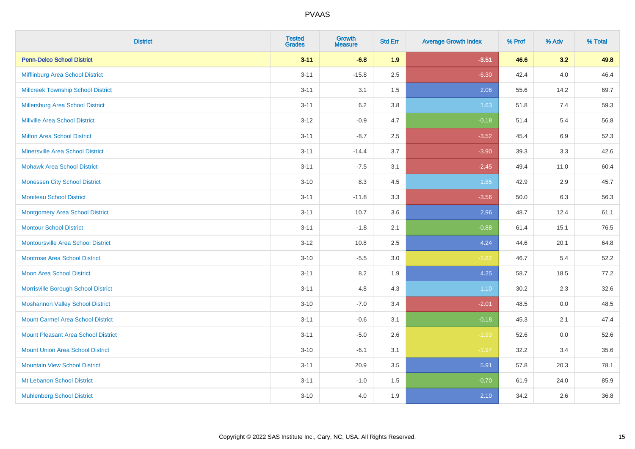| <b>District</b>                            | <b>Tested</b><br><b>Grades</b> | Growth<br><b>Measure</b> | <b>Std Err</b> | <b>Average Growth Index</b> | % Prof | % Adv   | % Total |
|--------------------------------------------|--------------------------------|--------------------------|----------------|-----------------------------|--------|---------|---------|
| <b>Penn-Delco School District</b>          | $3 - 11$                       | $-6.8$                   | 1.9            | $-3.51$                     | 46.6   | 3.2     | 49.8    |
| Mifflinburg Area School District           | $3 - 11$                       | $-15.8$                  | 2.5            | $-6.30$                     | 42.4   | $4.0\,$ | 46.4    |
| <b>Millcreek Township School District</b>  | $3 - 11$                       | 3.1                      | 1.5            | 2.06                        | 55.6   | 14.2    | 69.7    |
| Millersburg Area School District           | $3 - 11$                       | $6.2\,$                  | 3.8            | 1.63                        | 51.8   | 7.4     | 59.3    |
| Millville Area School District             | $3 - 12$                       | $-0.9$                   | 4.7            | $-0.18$                     | 51.4   | 5.4     | 56.8    |
| <b>Milton Area School District</b>         | $3 - 11$                       | $-8.7$                   | 2.5            | $-3.52$                     | 45.4   | 6.9     | 52.3    |
| <b>Minersville Area School District</b>    | $3 - 11$                       | $-14.4$                  | 3.7            | $-3.90$                     | 39.3   | 3.3     | 42.6    |
| <b>Mohawk Area School District</b>         | $3 - 11$                       | $-7.5$                   | 3.1            | $-2.45$                     | 49.4   | 11.0    | 60.4    |
| <b>Monessen City School District</b>       | $3 - 10$                       | 8.3                      | 4.5            | 1.85                        | 42.9   | 2.9     | 45.7    |
| <b>Moniteau School District</b>            | $3 - 11$                       | $-11.8$                  | 3.3            | $-3.56$                     | 50.0   | 6.3     | 56.3    |
| <b>Montgomery Area School District</b>     | $3 - 11$                       | 10.7                     | 3.6            | 2.96                        | 48.7   | 12.4    | 61.1    |
| <b>Montour School District</b>             | $3 - 11$                       | $-1.8$                   | 2.1            | $-0.88$                     | 61.4   | 15.1    | 76.5    |
| <b>Montoursville Area School District</b>  | $3 - 12$                       | 10.8                     | 2.5            | 4.24                        | 44.6   | 20.1    | 64.8    |
| <b>Montrose Area School District</b>       | $3 - 10$                       | $-5.5$                   | 3.0            | $-1.82$                     | 46.7   | 5.4     | 52.2    |
| <b>Moon Area School District</b>           | $3 - 11$                       | 8.2                      | 1.9            | 4.25                        | 58.7   | 18.5    | 77.2    |
| Morrisville Borough School District        | $3 - 11$                       | 4.8                      | 4.3            | 1.10                        | 30.2   | 2.3     | 32.6    |
| <b>Moshannon Valley School District</b>    | $3 - 10$                       | $-7.0$                   | 3.4            | $-2.01$                     | 48.5   | 0.0     | 48.5    |
| <b>Mount Carmel Area School District</b>   | $3 - 11$                       | $-0.6$                   | 3.1            | $-0.18$                     | 45.3   | 2.1     | 47.4    |
| <b>Mount Pleasant Area School District</b> | $3 - 11$                       | $-5.0$                   | 2.6            | $-1.93$                     | 52.6   | $0.0\,$ | 52.6    |
| <b>Mount Union Area School District</b>    | $3 - 10$                       | $-6.1$                   | 3.1            | $-1.97$                     | 32.2   | 3.4     | 35.6    |
| <b>Mountain View School District</b>       | $3 - 11$                       | 20.9                     | 3.5            | 5.91                        | 57.8   | 20.3    | 78.1    |
| Mt Lebanon School District                 | $3 - 11$                       | $-1.0$                   | 1.5            | $-0.70$                     | 61.9   | 24.0    | 85.9    |
| <b>Muhlenberg School District</b>          | $3 - 10$                       | 4.0                      | 1.9            | 2.10                        | 34.2   | 2.6     | 36.8    |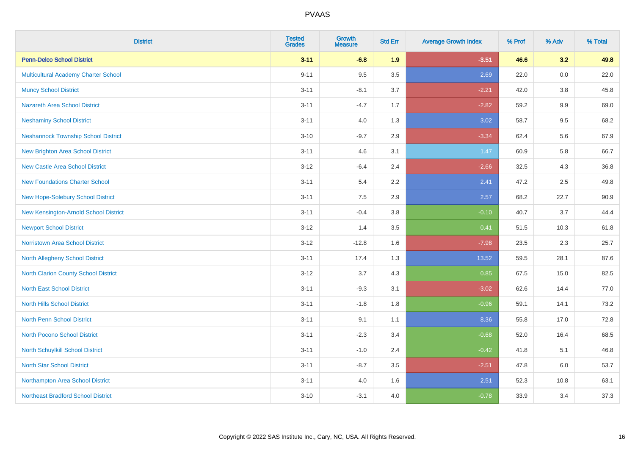| <b>District</b>                            | <b>Tested</b><br><b>Grades</b> | Growth<br><b>Measure</b> | <b>Std Err</b> | <b>Average Growth Index</b> | % Prof | % Adv | % Total |
|--------------------------------------------|--------------------------------|--------------------------|----------------|-----------------------------|--------|-------|---------|
| <b>Penn-Delco School District</b>          | $3 - 11$                       | $-6.8$                   | 1.9            | $-3.51$                     | 46.6   | 3.2   | 49.8    |
| Multicultural Academy Charter School       | $9 - 11$                       | 9.5                      | 3.5            | 2.69                        | 22.0   | 0.0   | 22.0    |
| <b>Muncy School District</b>               | $3 - 11$                       | $-8.1$                   | 3.7            | $-2.21$                     | 42.0   | 3.8   | 45.8    |
| <b>Nazareth Area School District</b>       | $3 - 11$                       | $-4.7$                   | 1.7            | $-2.82$                     | 59.2   | 9.9   | 69.0    |
| <b>Neshaminy School District</b>           | $3 - 11$                       | 4.0                      | 1.3            | 3.02                        | 58.7   | 9.5   | 68.2    |
| <b>Neshannock Township School District</b> | $3 - 10$                       | $-9.7$                   | 2.9            | $-3.34$                     | 62.4   | 5.6   | 67.9    |
| <b>New Brighton Area School District</b>   | $3 - 11$                       | 4.6                      | 3.1            | 1.47                        | 60.9   | 5.8   | 66.7    |
| <b>New Castle Area School District</b>     | $3 - 12$                       | $-6.4$                   | 2.4            | $-2.66$                     | 32.5   | 4.3   | 36.8    |
| <b>New Foundations Charter School</b>      | $3 - 11$                       | 5.4                      | 2.2            | 2.41                        | 47.2   | 2.5   | 49.8    |
| New Hope-Solebury School District          | $3 - 11$                       | 7.5                      | 2.9            | 2.57                        | 68.2   | 22.7  | 90.9    |
| New Kensington-Arnold School District      | $3 - 11$                       | $-0.4$                   | 3.8            | $-0.10$                     | 40.7   | 3.7   | 44.4    |
| <b>Newport School District</b>             | $3 - 12$                       | 1.4                      | 3.5            | 0.41                        | 51.5   | 10.3  | 61.8    |
| <b>Norristown Area School District</b>     | $3 - 12$                       | $-12.8$                  | 1.6            | $-7.98$                     | 23.5   | 2.3   | 25.7    |
| North Allegheny School District            | $3 - 11$                       | 17.4                     | 1.3            | 13.52                       | 59.5   | 28.1  | 87.6    |
| North Clarion County School District       | $3 - 12$                       | 3.7                      | 4.3            | 0.85                        | 67.5   | 15.0  | 82.5    |
| <b>North East School District</b>          | $3 - 11$                       | $-9.3$                   | 3.1            | $-3.02$                     | 62.6   | 14.4  | 77.0    |
| <b>North Hills School District</b>         | $3 - 11$                       | $-1.8$                   | 1.8            | $-0.96$                     | 59.1   | 14.1  | 73.2    |
| <b>North Penn School District</b>          | $3 - 11$                       | 9.1                      | 1.1            | 8.36                        | 55.8   | 17.0  | 72.8    |
| North Pocono School District               | $3 - 11$                       | $-2.3$                   | 3.4            | $-0.68$                     | 52.0   | 16.4  | 68.5    |
| North Schuylkill School District           | $3 - 11$                       | $-1.0$                   | 2.4            | $-0.42$                     | 41.8   | 5.1   | 46.8    |
| <b>North Star School District</b>          | $3 - 11$                       | $-8.7$                   | 3.5            | $-2.51$                     | 47.8   | 6.0   | 53.7    |
| Northampton Area School District           | $3 - 11$                       | 4.0                      | 1.6            | 2.51                        | 52.3   | 10.8  | 63.1    |
| <b>Northeast Bradford School District</b>  | $3 - 10$                       | $-3.1$                   | 4.0            | $-0.78$                     | 33.9   | 3.4   | 37.3    |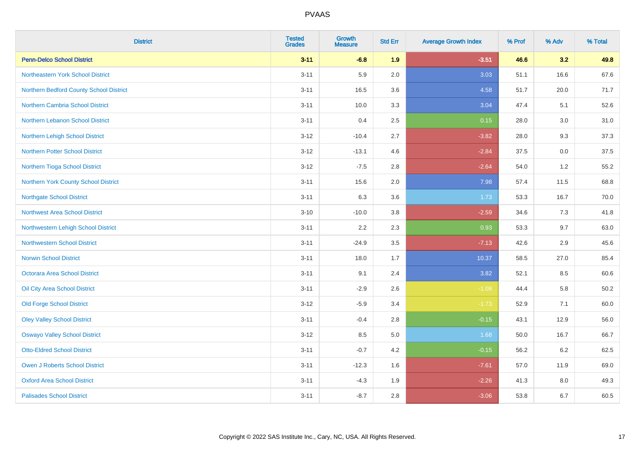| <b>District</b>                         | <b>Tested</b><br><b>Grades</b> | <b>Growth</b><br><b>Measure</b> | <b>Std Err</b> | <b>Average Growth Index</b> | % Prof | % Adv | % Total  |
|-----------------------------------------|--------------------------------|---------------------------------|----------------|-----------------------------|--------|-------|----------|
| <b>Penn-Delco School District</b>       | $3 - 11$                       | $-6.8$                          | 1.9            | $-3.51$                     | 46.6   | 3.2   | 49.8     |
| Northeastern York School District       | $3 - 11$                       | 5.9                             | 2.0            | 3.03                        | 51.1   | 16.6  | 67.6     |
| Northern Bedford County School District | $3 - 11$                       | 16.5                            | 3.6            | 4.58                        | 51.7   | 20.0  | 71.7     |
| <b>Northern Cambria School District</b> | $3 - 11$                       | 10.0                            | 3.3            | 3.04                        | 47.4   | 5.1   | 52.6     |
| Northern Lebanon School District        | $3 - 11$                       | 0.4                             | 2.5            | 0.15                        | 28.0   | 3.0   | 31.0     |
| Northern Lehigh School District         | $3 - 12$                       | $-10.4$                         | 2.7            | $-3.82$                     | 28.0   | 9.3   | 37.3     |
| <b>Northern Potter School District</b>  | $3 - 12$                       | $-13.1$                         | 4.6            | $-2.84$                     | 37.5   | 0.0   | 37.5     |
| Northern Tioga School District          | $3 - 12$                       | $-7.5$                          | 2.8            | $-2.64$                     | 54.0   | 1.2   | 55.2     |
| Northern York County School District    | $3 - 11$                       | 15.6                            | 2.0            | 7.98                        | 57.4   | 11.5  | 68.8     |
| <b>Northgate School District</b>        | $3 - 11$                       | 6.3                             | 3.6            | 1.73                        | 53.3   | 16.7  | 70.0     |
| <b>Northwest Area School District</b>   | $3 - 10$                       | $-10.0$                         | $3.8\,$        | $-2.59$                     | 34.6   | 7.3   | 41.8     |
| Northwestern Lehigh School District     | $3 - 11$                       | 2.2                             | 2.3            | 0.93                        | 53.3   | 9.7   | 63.0     |
| <b>Northwestern School District</b>     | $3 - 11$                       | $-24.9$                         | 3.5            | $-7.13$                     | 42.6   | 2.9   | 45.6     |
| <b>Norwin School District</b>           | $3 - 11$                       | 18.0                            | 1.7            | 10.37                       | 58.5   | 27.0  | 85.4     |
| Octorara Area School District           | $3 - 11$                       | 9.1                             | 2.4            | 3.82                        | 52.1   | 8.5   | 60.6     |
| Oil City Area School District           | $3 - 11$                       | $-2.9$                          | 2.6            | $-1.08$                     | 44.4   | 5.8   | $50.2\,$ |
| <b>Old Forge School District</b>        | $3 - 12$                       | $-5.9$                          | 3.4            | $-1.73$                     | 52.9   | 7.1   | 60.0     |
| <b>Oley Valley School District</b>      | $3 - 11$                       | $-0.4$                          | 2.8            | $-0.15$                     | 43.1   | 12.9  | 56.0     |
| <b>Oswayo Valley School District</b>    | $3 - 12$                       | 8.5                             | $5.0\,$        | 1.68                        | 50.0   | 16.7  | 66.7     |
| <b>Otto-Eldred School District</b>      | $3 - 11$                       | $-0.7$                          | 4.2            | $-0.15$                     | 56.2   | 6.2   | 62.5     |
| <b>Owen J Roberts School District</b>   | $3 - 11$                       | $-12.3$                         | 1.6            | $-7.61$                     | 57.0   | 11.9  | 69.0     |
| <b>Oxford Area School District</b>      | $3 - 11$                       | $-4.3$                          | 1.9            | $-2.26$                     | 41.3   | 8.0   | 49.3     |
| <b>Palisades School District</b>        | $3 - 11$                       | $-8.7$                          | 2.8            | $-3.06$                     | 53.8   | 6.7   | 60.5     |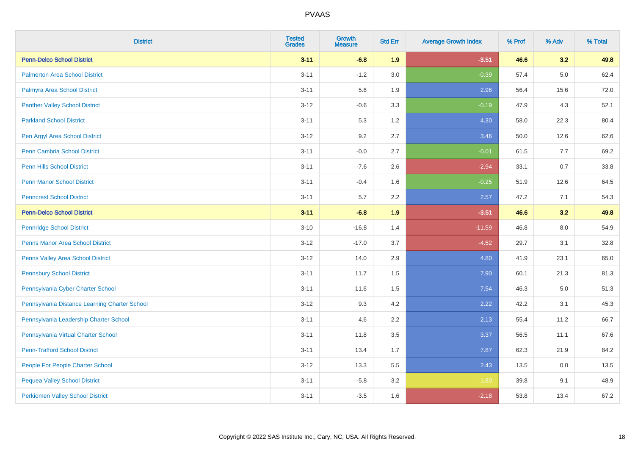| <b>District</b>                               | <b>Tested</b><br><b>Grades</b> | Growth<br><b>Measure</b> | <b>Std Err</b> | <b>Average Growth Index</b> | % Prof | % Adv   | % Total |
|-----------------------------------------------|--------------------------------|--------------------------|----------------|-----------------------------|--------|---------|---------|
| <b>Penn-Delco School District</b>             | $3 - 11$                       | $-6.8$                   | 1.9            | $-3.51$                     | 46.6   | 3.2     | 49.8    |
| <b>Palmerton Area School District</b>         | $3 - 11$                       | $-1.2$                   | 3.0            | $-0.39$                     | 57.4   | $5.0\,$ | 62.4    |
| Palmyra Area School District                  | $3 - 11$                       | 5.6                      | 1.9            | 2.96                        | 56.4   | 15.6    | 72.0    |
| <b>Panther Valley School District</b>         | $3 - 12$                       | $-0.6$                   | 3.3            | $-0.19$                     | 47.9   | 4.3     | 52.1    |
| <b>Parkland School District</b>               | $3 - 11$                       | 5.3                      | 1.2            | 4.30                        | 58.0   | 22.3    | 80.4    |
| Pen Argyl Area School District                | $3 - 12$                       | 9.2                      | 2.7            | 3.46                        | 50.0   | 12.6    | 62.6    |
| <b>Penn Cambria School District</b>           | $3 - 11$                       | $-0.0$                   | 2.7            | $-0.01$                     | 61.5   | 7.7     | 69.2    |
| <b>Penn Hills School District</b>             | $3 - 11$                       | $-7.6$                   | 2.6            | $-2.94$                     | 33.1   | 0.7     | 33.8    |
| <b>Penn Manor School District</b>             | $3 - 11$                       | $-0.4$                   | 1.6            | $-0.25$                     | 51.9   | 12.6    | 64.5    |
| <b>Penncrest School District</b>              | $3 - 11$                       | $5.7\,$                  | 2.2            | 2.57                        | 47.2   | 7.1     | 54.3    |
| <b>Penn-Delco School District</b>             | $3 - 11$                       | $-6.8$                   | 1.9            | $-3.51$                     | 46.6   | 3.2     | 49.8    |
| <b>Pennridge School District</b>              | $3 - 10$                       | $-16.8$                  | 1.4            | $-11.59$                    | 46.8   | 8.0     | 54.9    |
| Penns Manor Area School District              | $3 - 12$                       | $-17.0$                  | 3.7            | $-4.52$                     | 29.7   | 3.1     | 32.8    |
| Penns Valley Area School District             | $3 - 12$                       | 14.0                     | 2.9            | 4.80                        | 41.9   | 23.1    | 65.0    |
| <b>Pennsbury School District</b>              | $3 - 11$                       | 11.7                     | 1.5            | 7.90                        | 60.1   | 21.3    | 81.3    |
| Pennsylvania Cyber Charter School             | $3 - 11$                       | 11.6                     | 1.5            | 7.54                        | 46.3   | $5.0\,$ | 51.3    |
| Pennsylvania Distance Learning Charter School | $3 - 12$                       | 9.3                      | 4.2            | 2.22                        | 42.2   | 3.1     | 45.3    |
| Pennsylvania Leadership Charter School        | $3 - 11$                       | 4.6                      | 2.2            | 2.13                        | 55.4   | 11.2    | 66.7    |
| Pennsylvania Virtual Charter School           | $3 - 11$                       | 11.8                     | 3.5            | 3.37                        | 56.5   | 11.1    | 67.6    |
| <b>Penn-Trafford School District</b>          | $3 - 11$                       | 13.4                     | 1.7            | 7.87                        | 62.3   | 21.9    | 84.2    |
| People For People Charter School              | $3 - 12$                       | 13.3                     | 5.5            | 2.43                        | 13.5   | 0.0     | 13.5    |
| <b>Pequea Valley School District</b>          | $3 - 11$                       | $-5.8$                   | 3.2            | $-1.80$                     | 39.8   | 9.1     | 48.9    |
| <b>Perkiomen Valley School District</b>       | $3 - 11$                       | $-3.5$                   | 1.6            | $-2.18$                     | 53.8   | 13.4    | 67.2    |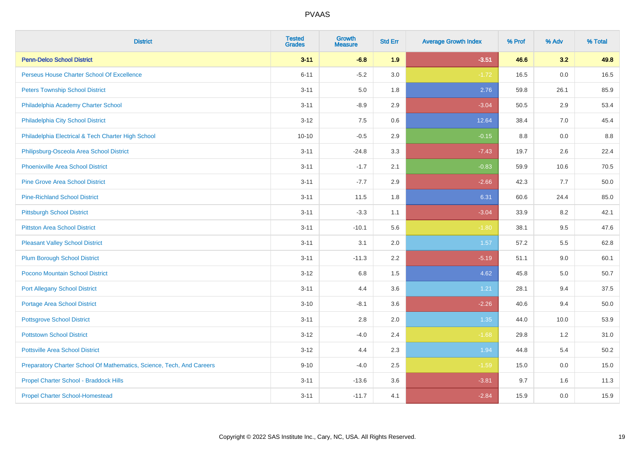| <b>District</b>                                                       | <b>Tested</b><br><b>Grades</b> | <b>Growth</b><br><b>Measure</b> | <b>Std Err</b> | <b>Average Growth Index</b> | % Prof | % Adv | % Total |
|-----------------------------------------------------------------------|--------------------------------|---------------------------------|----------------|-----------------------------|--------|-------|---------|
| <b>Penn-Delco School District</b>                                     | $3 - 11$                       | $-6.8$                          | 1.9            | $-3.51$                     | 46.6   | 3.2   | 49.8    |
| Perseus House Charter School Of Excellence                            | $6 - 11$                       | $-5.2$                          | 3.0            | $-1.72$                     | 16.5   | 0.0   | 16.5    |
| <b>Peters Township School District</b>                                | $3 - 11$                       | 5.0                             | 1.8            | 2.76                        | 59.8   | 26.1  | 85.9    |
| Philadelphia Academy Charter School                                   | $3 - 11$                       | $-8.9$                          | 2.9            | $-3.04$                     | 50.5   | 2.9   | 53.4    |
| Philadelphia City School District                                     | $3 - 12$                       | 7.5                             | 0.6            | 12.64                       | 38.4   | 7.0   | 45.4    |
| Philadelphia Electrical & Tech Charter High School                    | $10 - 10$                      | $-0.5$                          | 2.9            | $-0.15$                     | 8.8    | 0.0   | 8.8     |
| Philipsburg-Osceola Area School District                              | $3 - 11$                       | $-24.8$                         | 3.3            | $-7.43$                     | 19.7   | 2.6   | 22.4    |
| <b>Phoenixville Area School District</b>                              | $3 - 11$                       | $-1.7$                          | 2.1            | $-0.83$                     | 59.9   | 10.6  | 70.5    |
| <b>Pine Grove Area School District</b>                                | $3 - 11$                       | $-7.7$                          | 2.9            | $-2.66$                     | 42.3   | 7.7   | 50.0    |
| <b>Pine-Richland School District</b>                                  | $3 - 11$                       | 11.5                            | 1.8            | 6.31                        | 60.6   | 24.4  | 85.0    |
| <b>Pittsburgh School District</b>                                     | $3 - 11$                       | $-3.3$                          | 1.1            | $-3.04$                     | 33.9   | 8.2   | 42.1    |
| <b>Pittston Area School District</b>                                  | $3 - 11$                       | $-10.1$                         | 5.6            | $-1.80$                     | 38.1   | 9.5   | 47.6    |
| <b>Pleasant Valley School District</b>                                | $3 - 11$                       | 3.1                             | 2.0            | 1.57                        | 57.2   | 5.5   | 62.8    |
| <b>Plum Borough School District</b>                                   | $3 - 11$                       | $-11.3$                         | 2.2            | $-5.19$                     | 51.1   | 9.0   | 60.1    |
| Pocono Mountain School District                                       | $3 - 12$                       | $6.8\,$                         | 1.5            | 4.62                        | 45.8   | 5.0   | 50.7    |
| <b>Port Allegany School District</b>                                  | $3 - 11$                       | 4.4                             | 3.6            | 1.21                        | 28.1   | 9.4   | 37.5    |
| <b>Portage Area School District</b>                                   | $3 - 10$                       | $-8.1$                          | 3.6            | $-2.26$                     | 40.6   | 9.4   | 50.0    |
| <b>Pottsgrove School District</b>                                     | $3 - 11$                       | 2.8                             | 2.0            | 1.35                        | 44.0   | 10.0  | 53.9    |
| <b>Pottstown School District</b>                                      | $3 - 12$                       | $-4.0$                          | 2.4            | $-1.68$                     | 29.8   | 1.2   | 31.0    |
| <b>Pottsville Area School District</b>                                | $3 - 12$                       | 4.4                             | 2.3            | 1.94                        | 44.8   | 5.4   | 50.2    |
| Preparatory Charter School Of Mathematics, Science, Tech, And Careers | $9 - 10$                       | $-4.0$                          | 2.5            | $-1.59$                     | 15.0   | 0.0   | 15.0    |
| Propel Charter School - Braddock Hills                                | $3 - 11$                       | $-13.6$                         | 3.6            | $-3.81$                     | 9.7    | 1.6   | 11.3    |
| <b>Propel Charter School-Homestead</b>                                | $3 - 11$                       | $-11.7$                         | 4.1            | $-2.84$                     | 15.9   | 0.0   | 15.9    |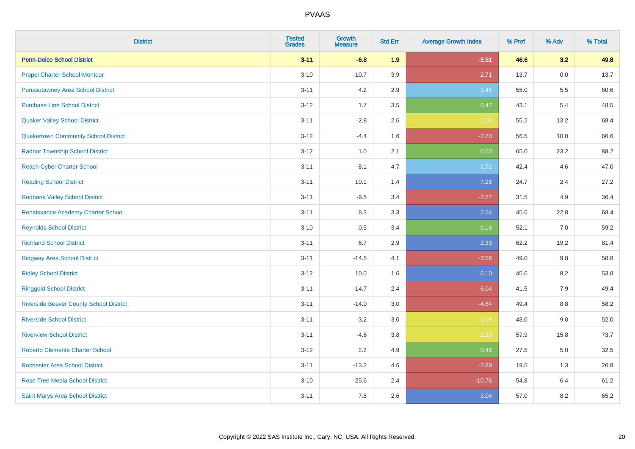| <b>District</b>                                | <b>Tested</b><br><b>Grades</b> | <b>Growth</b><br><b>Measure</b> | <b>Std Err</b> | <b>Average Growth Index</b> | % Prof | % Adv | % Total |
|------------------------------------------------|--------------------------------|---------------------------------|----------------|-----------------------------|--------|-------|---------|
| <b>Penn-Delco School District</b>              | $3 - 11$                       | $-6.8$                          | 1.9            | $-3.51$                     | 46.6   | 3.2   | 49.8    |
| <b>Propel Charter School-Montour</b>           | $3 - 10$                       | $-10.7$                         | 3.9            | $-2.71$                     | 13.7   | 0.0   | 13.7    |
| <b>Punxsutawney Area School District</b>       | $3 - 11$                       | 4.2                             | 2.9            | 1.45                        | 55.0   | 5.5   | 60.6    |
| <b>Purchase Line School District</b>           | $3 - 12$                       | 1.7                             | 3.5            | 0.47                        | 43.1   | 5.4   | 48.5    |
| <b>Quaker Valley School District</b>           | $3 - 11$                       | $-2.8$                          | 2.6            | $-1.08$                     | 55.2   | 13.2  | 68.4    |
| <b>Quakertown Community School District</b>    | $3 - 12$                       | $-4.4$                          | 1.6            | $-2.70$                     | 56.5   | 10.0  | 66.6    |
| <b>Radnor Township School District</b>         | $3 - 12$                       | $1.0\,$                         | 2.1            | 0.50                        | 65.0   | 23.2  | 88.2    |
| <b>Reach Cyber Charter School</b>              | $3 - 11$                       | 8.1                             | 4.7            | 1.72                        | 42.4   | 4.6   | 47.0    |
| <b>Reading School District</b>                 | $3 - 11$                       | 10.1                            | 1.4            | 7.25                        | 24.7   | 2.4   | 27.2    |
| <b>Redbank Valley School District</b>          | $3 - 11$                       | $-9.5$                          | 3.4            | $-2.77$                     | 31.5   | 4.9   | 36.4    |
| Renaissance Academy Charter School             | $3 - 11$                       | 8.3                             | 3.3            | 2.54                        | 45.6   | 22.8  | 68.4    |
| <b>Reynolds School District</b>                | $3 - 10$                       | 0.5                             | 3.4            | 0.16                        | 52.1   | 7.0   | 59.2    |
| <b>Richland School District</b>                | $3 - 11$                       | 6.7                             | 2.9            | 2.33                        | 62.2   | 19.2  | 81.4    |
| <b>Ridgway Area School District</b>            | $3 - 11$                       | $-14.5$                         | 4.1            | $-3.56$                     | 49.0   | 9.8   | 58.8    |
| <b>Ridley School District</b>                  | $3 - 12$                       | 10.0                            | 1.6            | 6.10                        | 45.6   | 8.2   | 53.8    |
| <b>Ringgold School District</b>                | $3 - 11$                       | $-14.7$                         | 2.4            | $-6.04$                     | 41.5   | 7.9   | 49.4    |
| <b>Riverside Beaver County School District</b> | $3 - 11$                       | $-14.0$                         | 3.0            | $-4.64$                     | 49.4   | 8.8   | 58.2    |
| <b>Riverside School District</b>               | $3 - 11$                       | $-3.2$                          | 3.0            | $-1.09$                     | 43.0   | 9.0   | 52.0    |
| <b>Riverview School District</b>               | $3 - 11$                       | $-4.6$                          | 3.8            | $-1.20$                     | 57.9   | 15.8  | 73.7    |
| <b>Roberto Clemente Charter School</b>         | $3 - 12$                       | 2.2                             | 4.9            | 0.45                        | 27.5   | 5.0   | 32.5    |
| <b>Rochester Area School District</b>          | $3 - 11$                       | $-13.2$                         | 4.6            | $-2.89$                     | 19.5   | 1.3   | 20.8    |
| <b>Rose Tree Media School District</b>         | $3 - 10$                       | $-25.6$                         | 2.4            | $-10.76$                    | 54.8   | 6.4   | 61.2    |
| Saint Marys Area School District               | $3 - 11$                       | 7.8                             | 2.6            | 3.04                        | 57.0   | 8.2   | 65.2    |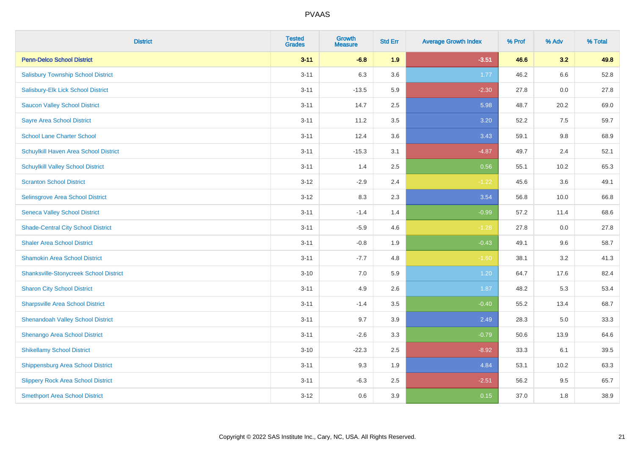| <b>District</b>                               | <b>Tested</b><br><b>Grades</b> | Growth<br><b>Measure</b> | <b>Std Err</b> | <b>Average Growth Index</b> | % Prof | % Adv | % Total |
|-----------------------------------------------|--------------------------------|--------------------------|----------------|-----------------------------|--------|-------|---------|
| <b>Penn-Delco School District</b>             | $3 - 11$                       | $-6.8$                   | 1.9            | $-3.51$                     | 46.6   | 3.2   | 49.8    |
| <b>Salisbury Township School District</b>     | $3 - 11$                       | 6.3                      | 3.6            | 1.77                        | 46.2   | 6.6   | 52.8    |
| Salisbury-Elk Lick School District            | $3 - 11$                       | $-13.5$                  | 5.9            | $-2.30$                     | 27.8   | 0.0   | 27.8    |
| <b>Saucon Valley School District</b>          | $3 - 11$                       | 14.7                     | 2.5            | 5.98                        | 48.7   | 20.2  | 69.0    |
| <b>Sayre Area School District</b>             | $3 - 11$                       | 11.2                     | 3.5            | 3.20                        | 52.2   | 7.5   | 59.7    |
| <b>School Lane Charter School</b>             | $3 - 11$                       | 12.4                     | 3.6            | 3.43                        | 59.1   | 9.8   | 68.9    |
| Schuylkill Haven Area School District         | $3 - 11$                       | $-15.3$                  | 3.1            | $-4.87$                     | 49.7   | 2.4   | 52.1    |
| <b>Schuylkill Valley School District</b>      | $3 - 11$                       | 1.4                      | 2.5            | 0.56                        | 55.1   | 10.2  | 65.3    |
| <b>Scranton School District</b>               | $3 - 12$                       | $-2.9$                   | 2.4            | $-1.22$                     | 45.6   | 3.6   | 49.1    |
| Selinsgrove Area School District              | $3 - 12$                       | 8.3                      | 2.3            | 3.54                        | 56.8   | 10.0  | 66.8    |
| <b>Seneca Valley School District</b>          | $3 - 11$                       | $-1.4$                   | 1.4            | $-0.99$                     | 57.2   | 11.4  | 68.6    |
| <b>Shade-Central City School District</b>     | $3 - 11$                       | $-5.9$                   | 4.6            | $-1.28$                     | 27.8   | 0.0   | 27.8    |
| <b>Shaler Area School District</b>            | $3 - 11$                       | $-0.8$                   | 1.9            | $-0.43$                     | 49.1   | 9.6   | 58.7    |
| <b>Shamokin Area School District</b>          | $3 - 11$                       | $-7.7$                   | 4.8            | $-1.60$                     | 38.1   | 3.2   | 41.3    |
| <b>Shanksville-Stonycreek School District</b> | $3 - 10$                       | 7.0                      | 5.9            | 1.20                        | 64.7   | 17.6  | 82.4    |
| <b>Sharon City School District</b>            | $3 - 11$                       | 4.9                      | 2.6            | 1.87                        | 48.2   | 5.3   | 53.4    |
| <b>Sharpsville Area School District</b>       | $3 - 11$                       | $-1.4$                   | 3.5            | $-0.40$                     | 55.2   | 13.4  | 68.7    |
| <b>Shenandoah Valley School District</b>      | $3 - 11$                       | 9.7                      | 3.9            | 2.49                        | 28.3   | 5.0   | 33.3    |
| Shenango Area School District                 | $3 - 11$                       | $-2.6$                   | 3.3            | $-0.79$                     | 50.6   | 13.9  | 64.6    |
| <b>Shikellamy School District</b>             | $3 - 10$                       | $-22.3$                  | 2.5            | $-8.92$                     | 33.3   | 6.1   | 39.5    |
| <b>Shippensburg Area School District</b>      | $3 - 11$                       | 9.3                      | 1.9            | 4.84                        | 53.1   | 10.2  | 63.3    |
| <b>Slippery Rock Area School District</b>     | $3 - 11$                       | $-6.3$                   | 2.5            | $-2.51$                     | 56.2   | 9.5   | 65.7    |
| <b>Smethport Area School District</b>         | $3 - 12$                       | 0.6                      | 3.9            | 0.15                        | 37.0   | 1.8   | 38.9    |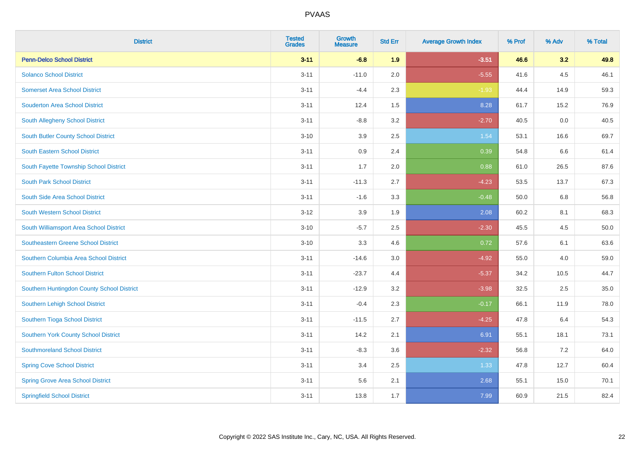| <b>District</b>                            | <b>Tested</b><br><b>Grades</b> | <b>Growth</b><br><b>Measure</b> | <b>Std Err</b> | <b>Average Growth Index</b> | % Prof | % Adv | % Total |
|--------------------------------------------|--------------------------------|---------------------------------|----------------|-----------------------------|--------|-------|---------|
| <b>Penn-Delco School District</b>          | $3 - 11$                       | $-6.8$                          | 1.9            | $-3.51$                     | 46.6   | 3.2   | 49.8    |
| <b>Solanco School District</b>             | $3 - 11$                       | $-11.0$                         | 2.0            | $-5.55$                     | 41.6   | 4.5   | 46.1    |
| <b>Somerset Area School District</b>       | $3 - 11$                       | $-4.4$                          | 2.3            | $-1.93$                     | 44.4   | 14.9  | 59.3    |
| <b>Souderton Area School District</b>      | $3 - 11$                       | 12.4                            | 1.5            | 8.28                        | 61.7   | 15.2  | 76.9    |
| South Allegheny School District            | $3 - 11$                       | $-8.8$                          | 3.2            | $-2.70$                     | 40.5   | 0.0   | 40.5    |
| South Butler County School District        | $3 - 10$                       | 3.9                             | 2.5            | 1.54                        | 53.1   | 16.6  | 69.7    |
| South Eastern School District              | $3 - 11$                       | 0.9                             | 2.4            | 0.39                        | 54.8   | 6.6   | 61.4    |
| South Fayette Township School District     | $3 - 11$                       | 1.7                             | 2.0            | 0.88                        | 61.0   | 26.5  | 87.6    |
| <b>South Park School District</b>          | $3 - 11$                       | $-11.3$                         | 2.7            | $-4.23$                     | 53.5   | 13.7  | 67.3    |
| South Side Area School District            | $3 - 11$                       | $-1.6$                          | 3.3            | $-0.48$                     | 50.0   | 6.8   | 56.8    |
| South Western School District              | $3 - 12$                       | 3.9                             | 1.9            | 2.08                        | 60.2   | 8.1   | 68.3    |
| South Williamsport Area School District    | $3 - 10$                       | $-5.7$                          | 2.5            | $-2.30$                     | 45.5   | 4.5   | 50.0    |
| Southeastern Greene School District        | $3 - 10$                       | 3.3                             | 4.6            | 0.72                        | 57.6   | 6.1   | 63.6    |
| Southern Columbia Area School District     | $3 - 11$                       | $-14.6$                         | 3.0            | $-4.92$                     | 55.0   | 4.0   | 59.0    |
| <b>Southern Fulton School District</b>     | $3 - 11$                       | $-23.7$                         | 4.4            | $-5.37$                     | 34.2   | 10.5  | 44.7    |
| Southern Huntingdon County School District | $3 - 11$                       | $-12.9$                         | 3.2            | $-3.98$                     | 32.5   | 2.5   | 35.0    |
| Southern Lehigh School District            | $3 - 11$                       | $-0.4$                          | 2.3            | $-0.17$                     | 66.1   | 11.9  | 78.0    |
| Southern Tioga School District             | $3 - 11$                       | $-11.5$                         | 2.7            | $-4.25$                     | 47.8   | 6.4   | 54.3    |
| Southern York County School District       | $3 - 11$                       | 14.2                            | 2.1            | 6.91                        | 55.1   | 18.1  | 73.1    |
| <b>Southmoreland School District</b>       | $3 - 11$                       | $-8.3$                          | 3.6            | $-2.32$                     | 56.8   | 7.2   | 64.0    |
| <b>Spring Cove School District</b>         | $3 - 11$                       | 3.4                             | 2.5            | 1.33                        | 47.8   | 12.7  | 60.4    |
| <b>Spring Grove Area School District</b>   | $3 - 11$                       | 5.6                             | 2.1            | 2.68                        | 55.1   | 15.0  | 70.1    |
| <b>Springfield School District</b>         | $3 - 11$                       | 13.8                            | 1.7            | 7.99                        | 60.9   | 21.5  | 82.4    |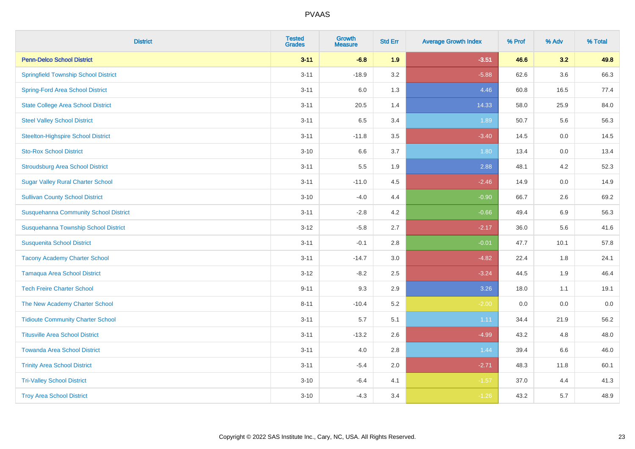| <b>District</b>                              | <b>Tested</b><br><b>Grades</b> | <b>Growth</b><br><b>Measure</b> | <b>Std Err</b> | <b>Average Growth Index</b> | % Prof | % Adv   | % Total |
|----------------------------------------------|--------------------------------|---------------------------------|----------------|-----------------------------|--------|---------|---------|
| <b>Penn-Delco School District</b>            | $3 - 11$                       | $-6.8$                          | 1.9            | $-3.51$                     | 46.6   | 3.2     | 49.8    |
| <b>Springfield Township School District</b>  | $3 - 11$                       | $-18.9$                         | 3.2            | $-5.88$                     | 62.6   | $3.6\,$ | 66.3    |
| <b>Spring-Ford Area School District</b>      | $3 - 11$                       | 6.0                             | 1.3            | 4.46                        | 60.8   | 16.5    | 77.4    |
| <b>State College Area School District</b>    | $3 - 11$                       | 20.5                            | 1.4            | 14.33                       | 58.0   | 25.9    | 84.0    |
| <b>Steel Valley School District</b>          | $3 - 11$                       | 6.5                             | 3.4            | 1.89                        | 50.7   | 5.6     | 56.3    |
| <b>Steelton-Highspire School District</b>    | $3 - 11$                       | $-11.8$                         | 3.5            | $-3.40$                     | 14.5   | 0.0     | 14.5    |
| <b>Sto-Rox School District</b>               | $3 - 10$                       | 6.6                             | 3.7            | 1.80                        | 13.4   | 0.0     | 13.4    |
| <b>Stroudsburg Area School District</b>      | $3 - 11$                       | 5.5                             | 1.9            | 2.88                        | 48.1   | 4.2     | 52.3    |
| <b>Sugar Valley Rural Charter School</b>     | $3 - 11$                       | $-11.0$                         | 4.5            | $-2.46$                     | 14.9   | 0.0     | 14.9    |
| <b>Sullivan County School District</b>       | $3 - 10$                       | $-4.0$                          | 4.4            | $-0.90$                     | 66.7   | $2.6\,$ | 69.2    |
| <b>Susquehanna Community School District</b> | $3 - 11$                       | $-2.8$                          | 4.2            | $-0.66$                     | 49.4   | 6.9     | 56.3    |
| Susquehanna Township School District         | $3 - 12$                       | $-5.8$                          | 2.7            | $-2.17$                     | 36.0   | 5.6     | 41.6    |
| <b>Susquenita School District</b>            | $3 - 11$                       | $-0.1$                          | 2.8            | $-0.01$                     | 47.7   | 10.1    | 57.8    |
| <b>Tacony Academy Charter School</b>         | $3 - 11$                       | $-14.7$                         | $3.0\,$        | $-4.82$                     | 22.4   | 1.8     | 24.1    |
| <b>Tamaqua Area School District</b>          | $3 - 12$                       | $-8.2$                          | 2.5            | $-3.24$                     | 44.5   | 1.9     | 46.4    |
| <b>Tech Freire Charter School</b>            | $9 - 11$                       | 9.3                             | 2.9            | 3.26                        | 18.0   | 1.1     | 19.1    |
| The New Academy Charter School               | $8 - 11$                       | $-10.4$                         | 5.2            | $-2.00$                     | 0.0    | 0.0     | $0.0\,$ |
| <b>Tidioute Community Charter School</b>     | $3 - 11$                       | 5.7                             | 5.1            | 1.11                        | 34.4   | 21.9    | 56.2    |
| <b>Titusville Area School District</b>       | $3 - 11$                       | $-13.2$                         | 2.6            | $-4.99$                     | 43.2   | 4.8     | 48.0    |
| <b>Towanda Area School District</b>          | $3 - 11$                       | 4.0                             | 2.8            | 1.44                        | 39.4   | 6.6     | 46.0    |
| <b>Trinity Area School District</b>          | $3 - 11$                       | $-5.4$                          | 2.0            | $-2.71$                     | 48.3   | 11.8    | 60.1    |
| <b>Tri-Valley School District</b>            | $3 - 10$                       | $-6.4$                          | 4.1            | $-1.57$                     | 37.0   | 4.4     | 41.3    |
| <b>Troy Area School District</b>             | $3 - 10$                       | $-4.3$                          | 3.4            | $-1.26$                     | 43.2   | 5.7     | 48.9    |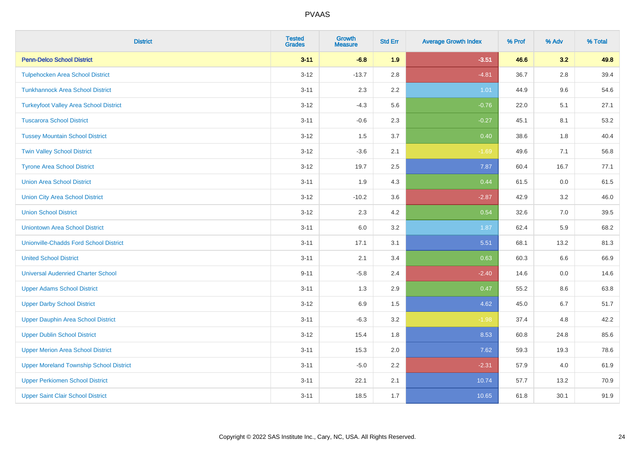| <b>District</b>                                | <b>Tested</b><br><b>Grades</b> | <b>Growth</b><br><b>Measure</b> | <b>Std Err</b> | <b>Average Growth Index</b> | % Prof | % Adv   | % Total |
|------------------------------------------------|--------------------------------|---------------------------------|----------------|-----------------------------|--------|---------|---------|
| <b>Penn-Delco School District</b>              | $3 - 11$                       | $-6.8$                          | 1.9            | $-3.51$                     | 46.6   | 3.2     | 49.8    |
| <b>Tulpehocken Area School District</b>        | $3 - 12$                       | $-13.7$                         | 2.8            | $-4.81$                     | 36.7   | $2.8\,$ | 39.4    |
| <b>Tunkhannock Area School District</b>        | $3 - 11$                       | 2.3                             | 2.2            | 1.01                        | 44.9   | 9.6     | 54.6    |
| <b>Turkeyfoot Valley Area School District</b>  | $3 - 12$                       | $-4.3$                          | 5.6            | $-0.76$                     | 22.0   | 5.1     | 27.1    |
| <b>Tuscarora School District</b>               | $3 - 11$                       | $-0.6$                          | 2.3            | $-0.27$                     | 45.1   | 8.1     | 53.2    |
| <b>Tussey Mountain School District</b>         | $3 - 12$                       | 1.5                             | 3.7            | 0.40                        | 38.6   | 1.8     | 40.4    |
| <b>Twin Valley School District</b>             | $3 - 12$                       | $-3.6$                          | 2.1            | $-1.69$                     | 49.6   | 7.1     | 56.8    |
| <b>Tyrone Area School District</b>             | $3 - 12$                       | 19.7                            | 2.5            | 7.87                        | 60.4   | 16.7    | 77.1    |
| <b>Union Area School District</b>              | $3 - 11$                       | 1.9                             | 4.3            | 0.44                        | 61.5   | 0.0     | 61.5    |
| <b>Union City Area School District</b>         | $3 - 12$                       | $-10.2$                         | 3.6            | $-2.87$                     | 42.9   | 3.2     | 46.0    |
| <b>Union School District</b>                   | $3 - 12$                       | 2.3                             | 4.2            | 0.54                        | 32.6   | 7.0     | 39.5    |
| <b>Uniontown Area School District</b>          | $3 - 11$                       | 6.0                             | 3.2            | 1.87                        | 62.4   | 5.9     | 68.2    |
| <b>Unionville-Chadds Ford School District</b>  | $3 - 11$                       | 17.1                            | 3.1            | 5.51                        | 68.1   | 13.2    | 81.3    |
| <b>United School District</b>                  | $3 - 11$                       | 2.1                             | 3.4            | 0.63                        | 60.3   | 6.6     | 66.9    |
| <b>Universal Audenried Charter School</b>      | $9 - 11$                       | $-5.8$                          | 2.4            | $-2.40$                     | 14.6   | 0.0     | 14.6    |
| <b>Upper Adams School District</b>             | $3 - 11$                       | 1.3                             | 2.9            | 0.47                        | 55.2   | $8.6\,$ | 63.8    |
| <b>Upper Darby School District</b>             | $3 - 12$                       | 6.9                             | 1.5            | 4.62                        | 45.0   | 6.7     | 51.7    |
| <b>Upper Dauphin Area School District</b>      | $3 - 11$                       | $-6.3$                          | 3.2            | $-1.98$                     | 37.4   | 4.8     | 42.2    |
| <b>Upper Dublin School District</b>            | $3 - 12$                       | 15.4                            | 1.8            | 8.53                        | 60.8   | 24.8    | 85.6    |
| <b>Upper Merion Area School District</b>       | $3 - 11$                       | 15.3                            | 2.0            | 7.62                        | 59.3   | 19.3    | 78.6    |
| <b>Upper Moreland Township School District</b> | $3 - 11$                       | $-5.0$                          | 2.2            | $-2.31$                     | 57.9   | 4.0     | 61.9    |
| <b>Upper Perkiomen School District</b>         | $3 - 11$                       | 22.1                            | 2.1            | 10.74                       | 57.7   | 13.2    | 70.9    |
| <b>Upper Saint Clair School District</b>       | $3 - 11$                       | 18.5                            | 1.7            | 10.65                       | 61.8   | 30.1    | 91.9    |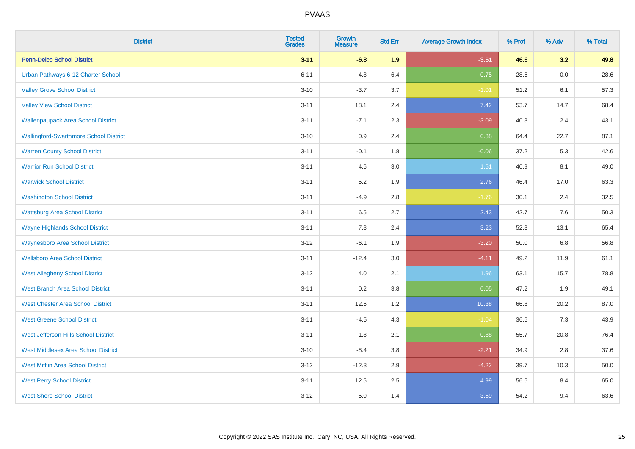| <b>District</b>                               | <b>Tested</b><br><b>Grades</b> | <b>Growth</b><br><b>Measure</b> | <b>Std Err</b> | <b>Average Growth Index</b> | % Prof | % Adv | % Total |
|-----------------------------------------------|--------------------------------|---------------------------------|----------------|-----------------------------|--------|-------|---------|
| <b>Penn-Delco School District</b>             | $3 - 11$                       | $-6.8$                          | 1.9            | $-3.51$                     | 46.6   | 3.2   | 49.8    |
| Urban Pathways 6-12 Charter School            | $6 - 11$                       | 4.8                             | 6.4            | 0.75                        | 28.6   | 0.0   | 28.6    |
| <b>Valley Grove School District</b>           | $3 - 10$                       | $-3.7$                          | 3.7            | $-1.01$                     | 51.2   | 6.1   | 57.3    |
| <b>Valley View School District</b>            | $3 - 11$                       | 18.1                            | 2.4            | 7.42                        | 53.7   | 14.7  | 68.4    |
| <b>Wallenpaupack Area School District</b>     | $3 - 11$                       | $-7.1$                          | 2.3            | $-3.09$                     | 40.8   | 2.4   | 43.1    |
| <b>Wallingford-Swarthmore School District</b> | $3 - 10$                       | 0.9                             | 2.4            | 0.38                        | 64.4   | 22.7  | 87.1    |
| <b>Warren County School District</b>          | $3 - 11$                       | $-0.1$                          | 1.8            | $-0.06$                     | 37.2   | 5.3   | 42.6    |
| <b>Warrior Run School District</b>            | $3 - 11$                       | 4.6                             | 3.0            | 1.51                        | 40.9   | 8.1   | 49.0    |
| <b>Warwick School District</b>                | $3 - 11$                       | 5.2                             | 1.9            | 2.76                        | 46.4   | 17.0  | 63.3    |
| <b>Washington School District</b>             | $3 - 11$                       | $-4.9$                          | 2.8            | $-1.76$                     | 30.1   | 2.4   | 32.5    |
| <b>Wattsburg Area School District</b>         | $3 - 11$                       | 6.5                             | 2.7            | 2.43                        | 42.7   | 7.6   | 50.3    |
| <b>Wayne Highlands School District</b>        | $3 - 11$                       | 7.8                             | 2.4            | 3.23                        | 52.3   | 13.1  | 65.4    |
| <b>Waynesboro Area School District</b>        | $3 - 12$                       | $-6.1$                          | 1.9            | $-3.20$                     | 50.0   | 6.8   | 56.8    |
| <b>Wellsboro Area School District</b>         | $3 - 11$                       | $-12.4$                         | 3.0            | $-4.11$                     | 49.2   | 11.9  | 61.1    |
| <b>West Allegheny School District</b>         | $3 - 12$                       | 4.0                             | 2.1            | 1.96                        | 63.1   | 15.7  | 78.8    |
| <b>West Branch Area School District</b>       | $3 - 11$                       | 0.2                             | 3.8            | 0.05                        | 47.2   | 1.9   | 49.1    |
| <b>West Chester Area School District</b>      | $3 - 11$                       | 12.6                            | 1.2            | 10.38                       | 66.8   | 20.2  | 87.0    |
| <b>West Greene School District</b>            | $3 - 11$                       | $-4.5$                          | 4.3            | $-1.04$                     | 36.6   | 7.3   | 43.9    |
| West Jefferson Hills School District          | $3 - 11$                       | 1.8                             | 2.1            | 0.88                        | 55.7   | 20.8  | 76.4    |
| <b>West Middlesex Area School District</b>    | $3 - 10$                       | $-8.4$                          | 3.8            | $-2.21$                     | 34.9   | 2.8   | 37.6    |
| <b>West Mifflin Area School District</b>      | $3 - 12$                       | $-12.3$                         | 2.9            | $-4.22$                     | 39.7   | 10.3  | 50.0    |
| <b>West Perry School District</b>             | $3 - 11$                       | 12.5                            | 2.5            | 4.99                        | 56.6   | 8.4   | 65.0    |
| <b>West Shore School District</b>             | $3-12$                         | 5.0                             | 1.4            | 3.59                        | 54.2   | 9.4   | 63.6    |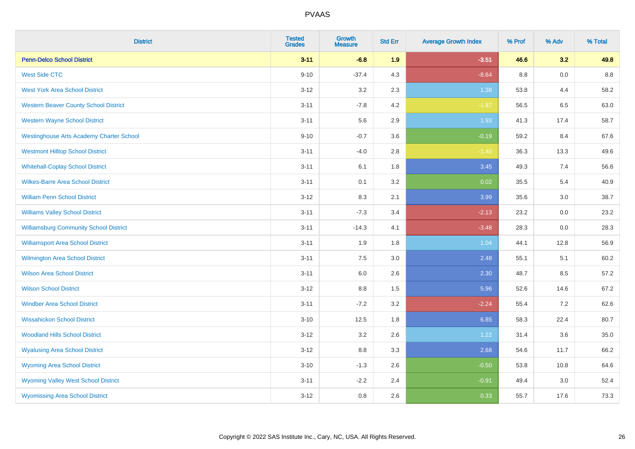| <b>District</b>                                 | <b>Tested</b><br><b>Grades</b> | <b>Growth</b><br><b>Measure</b> | <b>Std Err</b> | <b>Average Growth Index</b> | % Prof  | % Adv   | % Total |
|-------------------------------------------------|--------------------------------|---------------------------------|----------------|-----------------------------|---------|---------|---------|
| <b>Penn-Delco School District</b>               | $3 - 11$                       | $-6.8$                          | 1.9            | $-3.51$                     | 46.6    | 3.2     | 49.8    |
| <b>West Side CTC</b>                            | $9 - 10$                       | $-37.4$                         | 4.3            | $-8.64$                     | $8.8\,$ | $0.0\,$ | $8.8\,$ |
| <b>West York Area School District</b>           | $3 - 12$                       | 3.2                             | 2.3            | 1.38                        | 53.8    | 4.4     | 58.2    |
| <b>Western Beaver County School District</b>    | $3 - 11$                       | $-7.8$                          | 4.2            | $-1.87$                     | 56.5    | 6.5     | 63.0    |
| <b>Western Wayne School District</b>            | $3 - 11$                       | 5.6                             | 2.9            | 1.93                        | 41.3    | 17.4    | 58.7    |
| <b>Westinghouse Arts Academy Charter School</b> | $9 - 10$                       | $-0.7$                          | 3.6            | $-0.19$                     | 59.2    | 8.4     | 67.6    |
| <b>Westmont Hilltop School District</b>         | $3 - 11$                       | $-4.0$                          | 2.8            | $-1.40$                     | 36.3    | 13.3    | 49.6    |
| <b>Whitehall-Coplay School District</b>         | $3 - 11$                       | 6.1                             | 1.8            | 3.45                        | 49.3    | 7.4     | 56.6    |
| <b>Wilkes-Barre Area School District</b>        | $3 - 11$                       | 0.1                             | 3.2            | 0.02                        | 35.5    | 5.4     | 40.9    |
| <b>William Penn School District</b>             | $3 - 12$                       | 8.3                             | 2.1            | 3.99                        | 35.6    | 3.0     | 38.7    |
| <b>Williams Valley School District</b>          | $3 - 11$                       | $-7.3$                          | 3.4            | $-2.13$                     | 23.2    | 0.0     | 23.2    |
| <b>Williamsburg Community School District</b>   | $3 - 11$                       | $-14.3$                         | 4.1            | $-3.48$                     | 28.3    | 0.0     | 28.3    |
| <b>Williamsport Area School District</b>        | $3 - 11$                       | 1.9                             | 1.8            | 1.04                        | 44.1    | 12.8    | 56.9    |
| <b>Wilmington Area School District</b>          | $3 - 11$                       | 7.5                             | 3.0            | 2.48                        | 55.1    | 5.1     | 60.2    |
| <b>Wilson Area School District</b>              | $3 - 11$                       | 6.0                             | 2.6            | 2.30                        | 48.7    | 8.5     | 57.2    |
| <b>Wilson School District</b>                   | $3 - 12$                       | 8.8                             | 1.5            | 5.96                        | 52.6    | 14.6    | 67.2    |
| <b>Windber Area School District</b>             | $3 - 11$                       | $-7.2$                          | 3.2            | $-2.24$                     | 55.4    | 7.2     | 62.6    |
| <b>Wissahickon School District</b>              | $3 - 10$                       | 12.5                            | 1.8            | 6.85                        | 58.3    | 22.4    | 80.7    |
| <b>Woodland Hills School District</b>           | $3 - 12$                       | 3.2                             | 2.6            | 1.22                        | 31.4    | 3.6     | 35.0    |
| <b>Wyalusing Area School District</b>           | $3 - 12$                       | $8.8\,$                         | 3.3            | 2.68                        | 54.6    | 11.7    | 66.2    |
| <b>Wyoming Area School District</b>             | $3 - 10$                       | $-1.3$                          | 2.6            | $-0.50$                     | 53.8    | 10.8    | 64.6    |
| <b>Wyoming Valley West School District</b>      | $3 - 11$                       | $-2.2$                          | 2.4            | $-0.91$                     | 49.4    | 3.0     | 52.4    |
| <b>Wyomissing Area School District</b>          | $3 - 12$                       | 0.8                             | 2.6            | 0.33                        | 55.7    | 17.6    | 73.3    |